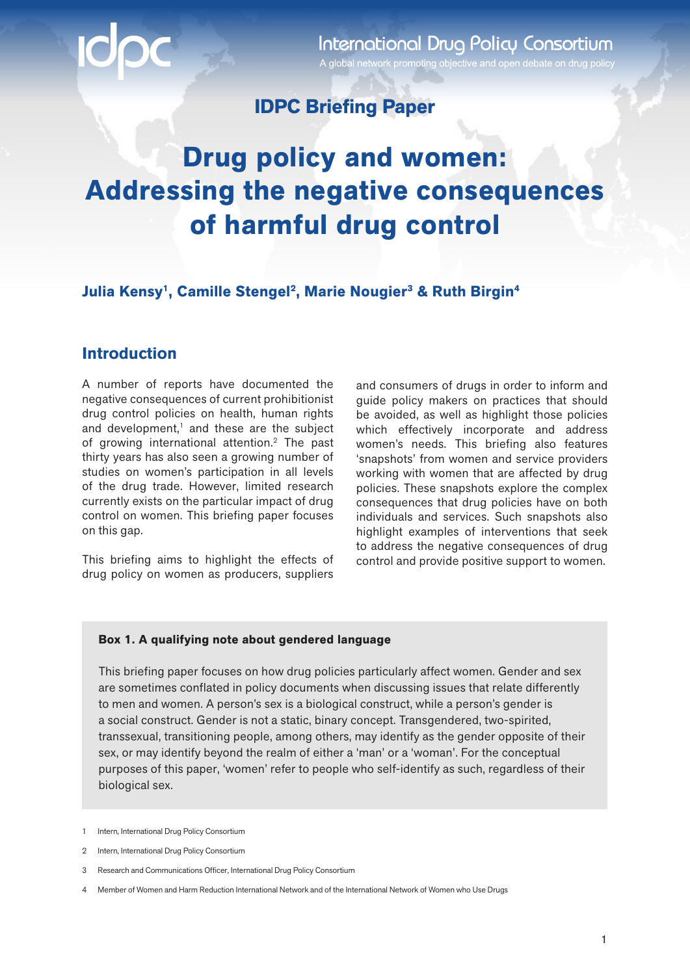**International Drug Policy Consortium** A global network promoting objective and open debate on drug policy

### **IDPC Briefing Paper**

## **Drug policy and women: Addressing the negative consequences of harmful drug control**

**Julia Kensy<sup>1</sup>, Camille Stengel<sup>2</sup>, Marie Nougier<sup>3</sup> & Ruth Birgin<sup>4</sup>** 

### **Introduction**

A number of reports have documented the negative consequences of current prohibitionist drug control policies on health, human rights and development,<sup>1</sup> and these are the subject of growing international attention.2 The past thirty years has also seen a growing number of studies on women's participation in all levels of the drug trade. However, limited research currently exists on the particular impact of drug control on women. This briefing paper focuses on this gap.

This briefing aims to highlight the effects of drug policy on women as producers, suppliers

and consumers of drugs in order to inform and guide policy makers on practices that should be avoided, as well as highlight those policies which effectively incorporate and address women's needs. This briefing also features 'snapshots' from women and service providers working with women that are affected by drug policies. These snapshots explore the complex consequences that drug policies have on both individuals and services. Such snapshots also highlight examples of interventions that seek to address the negative consequences of drug control and provide positive support to women.

#### **Box 1. A qualifying note about gendered language**

This briefing paper focuses on how drug policies particularly affect women. Gender and sex are sometimes conflated in policy documents when discussing issues that relate differently to men and women. A person's sex is a biological construct, while a person's gender is a social construct. Gender is not a static, binary concept. Transgendered, two-spirited, transsexual, transitioning people, among others, may identify as the gender opposite of their sex, or may identify beyond the realm of either a 'man' or a 'woman'. For the conceptual purposes of this paper, 'women' refer to people who self-identify as such, regardless of their biological sex.

<sup>1</sup> Intern, International Drug Policy Consortium

<sup>2</sup> Intern, International Drug Policy Consortium

<sup>3</sup> Research and Communications Officer, International Drug Policy Consortium

<sup>4</sup> Member of Women and Harm Reduction International Network and of the International Network of Women who Use Drugs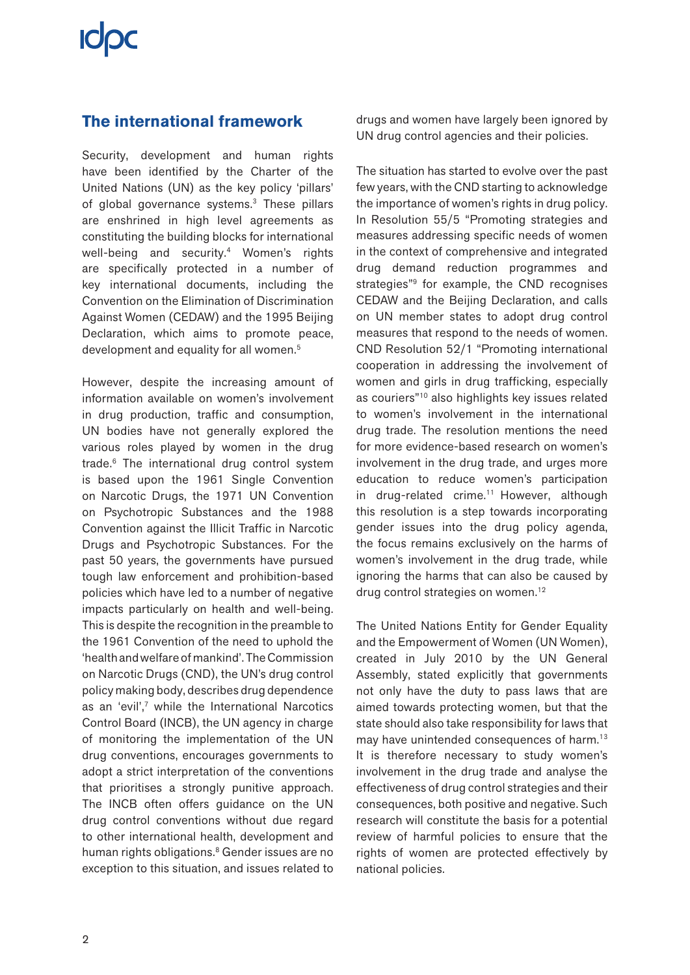# **ICIDC**

### **The international framework**

Security, development and human rights have been identified by the Charter of the United Nations (UN) as the key policy 'pillars' of global governance systems.3 These pillars are enshrined in high level agreements as constituting the building blocks for international well-being and security.<sup>4</sup> Women's rights are specifically protected in a number of key international documents, including the Convention on the Elimination of Discrimination Against Women (CEDAW) and the 1995 Beijing Declaration, which aims to promote peace, development and equality for all women.<sup>5</sup>

However, despite the increasing amount of information available on women's involvement in drug production, traffic and consumption, UN bodies have not generally explored the various roles played by women in the drug trade.6 The international drug control system is based upon the 1961 Single Convention on Narcotic Drugs, the 1971 UN Convention on Psychotropic Substances and the 1988 Convention against the Illicit Traffic in Narcotic Drugs and Psychotropic Substances. For the past 50 years, the governments have pursued tough law enforcement and prohibition-based policies which have led to a number of negative impacts particularly on health and well-being. This is despite the recognition in the preamble to the 1961 Convention of the need to uphold the 'health and welfare of mankind'. The Commission on Narcotic Drugs (CND), the UN's drug control policy making body, describes drug dependence as an 'evil',7 while the International Narcotics Control Board (INCB), the UN agency in charge of monitoring the implementation of the UN drug conventions, encourages governments to adopt a strict interpretation of the conventions that prioritises a strongly punitive approach. The INCB often offers guidance on the UN drug control conventions without due regard to other international health, development and human rights obligations.<sup>8</sup> Gender issues are no exception to this situation, and issues related to

drugs and women have largely been ignored by UN drug control agencies and their policies.

The situation has started to evolve over the past few years, with the CND starting to acknowledge the importance of women's rights in drug policy. In Resolution 55/5 "Promoting strategies and measures addressing specific needs of women in the context of comprehensive and integrated drug demand reduction programmes and strategies"<sup>9</sup> for example, the CND recognises CEDAW and the Beijing Declaration, and calls on UN member states to adopt drug control measures that respond to the needs of women. CND Resolution 52/1 "Promoting international cooperation in addressing the involvement of women and girls in drug trafficking, especially as couriers"10 also highlights key issues related to women's involvement in the international drug trade. The resolution mentions the need for more evidence-based research on women's involvement in the drug trade, and urges more education to reduce women's participation in drug-related crime.<sup>11</sup> However, although this resolution is a step towards incorporating gender issues into the drug policy agenda, the focus remains exclusively on the harms of women's involvement in the drug trade, while ignoring the harms that can also be caused by drug control strategies on women.<sup>12</sup>

The United Nations Entity for Gender Equality and the Empowerment of Women (UN Women), created in July 2010 by the UN General Assembly, stated explicitly that governments not only have the duty to pass laws that are aimed towards protecting women, but that the state should also take responsibility for laws that may have unintended consequences of harm.<sup>13</sup> It is therefore necessary to study women's involvement in the drug trade and analyse the effectiveness of drug control strategies and their consequences, both positive and negative. Such research will constitute the basis for a potential review of harmful policies to ensure that the rights of women are protected effectively by national policies.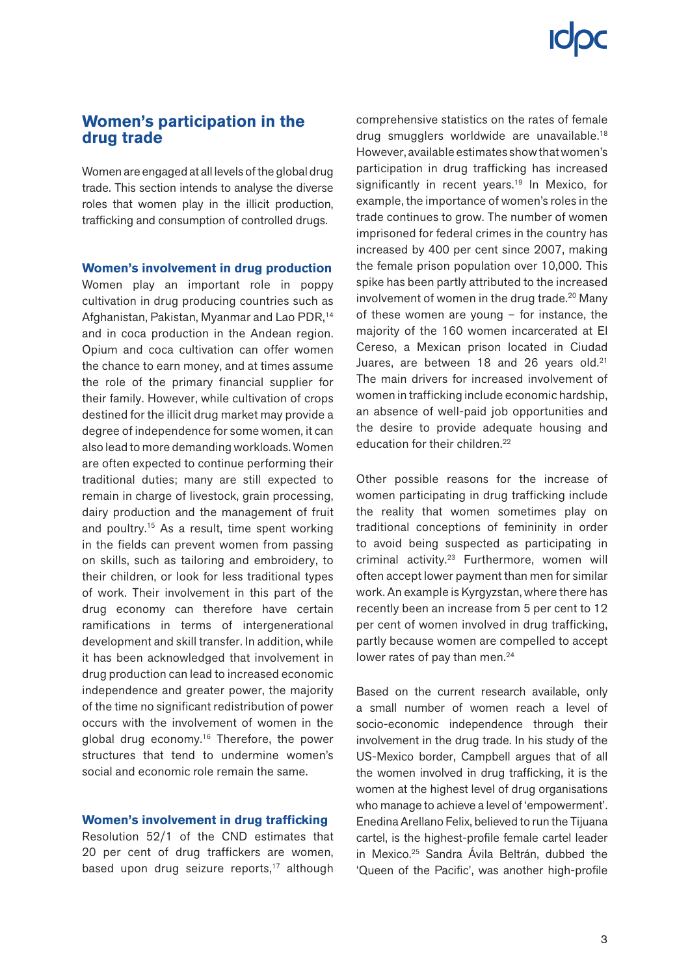### **Women's participation in the drug trade**

Women are engaged at all levels of the global drug trade. This section intends to analyse the diverse roles that women play in the illicit production, trafficking and consumption of controlled drugs.

**Women's involvement in drug production**

Women play an important role in poppy cultivation in drug producing countries such as Afghanistan, Pakistan, Myanmar and Lao PDR,14 and in coca production in the Andean region. Opium and coca cultivation can offer women the chance to earn money, and at times assume the role of the primary financial supplier for their family. However, while cultivation of crops destined for the illicit drug market may provide a degree of independence for some women, it can also lead to more demanding workloads. Women are often expected to continue performing their traditional duties; many are still expected to remain in charge of livestock, grain processing, dairy production and the management of fruit and poultry.15 As a result, time spent working in the fields can prevent women from passing on skills, such as tailoring and embroidery, to their children, or look for less traditional types of work. Their involvement in this part of the drug economy can therefore have certain ramifications in terms of intergenerational development and skill transfer. In addition, while it has been acknowledged that involvement in drug production can lead to increased economic independence and greater power, the majority of the time no significant redistribution of power occurs with the involvement of women in the global drug economy.16 Therefore, the power structures that tend to undermine women's social and economic role remain the same.

#### **Women's involvement in drug trafficking**

Resolution 52/1 of the CND estimates that 20 per cent of drug traffickers are women, based upon drug seizure reports, $17$  although

comprehensive statistics on the rates of female drug smugglers worldwide are unavailable.18 However, available estimates show that women's participation in drug trafficking has increased significantly in recent years.<sup>19</sup> In Mexico, for example, the importance of women's roles in the trade continues to grow. The number of women imprisoned for federal crimes in the country has increased by 400 per cent since 2007, making the female prison population over 10,000. This spike has been partly attributed to the increased involvement of women in the drug trade.<sup>20</sup> Many of these women are young – for instance, the majority of the 160 women incarcerated at El Cereso, a Mexican prison located in Ciudad Juares, are between 18 and 26 years old.<sup>21</sup> The main drivers for increased involvement of women in trafficking include economic hardship, an absence of well-paid job opportunities and the desire to provide adequate housing and education for their children.<sup>22</sup>

Other possible reasons for the increase of women participating in drug trafficking include the reality that women sometimes play on traditional conceptions of femininity in order to avoid being suspected as participating in criminal activity.23 Furthermore, women will often accept lower payment than men for similar work. An example is Kyrgyzstan, where there has recently been an increase from 5 per cent to 12 per cent of women involved in drug trafficking, partly because women are compelled to accept lower rates of pay than men.<sup>24</sup>

Based on the current research available, only a small number of women reach a level of socio-economic independence through their involvement in the drug trade. In his study of the US-Mexico border, Campbell argues that of all the women involved in drug trafficking, it is the women at the highest level of drug organisations who manage to achieve a level of 'empowerment'. Enedina Arellano Felix, believed to run the Tijuana cartel, is the highest-profile female cartel leader in Mexico.25 Sandra Ávila Beltrán, dubbed the 'Queen of the Pacific', was another high-profile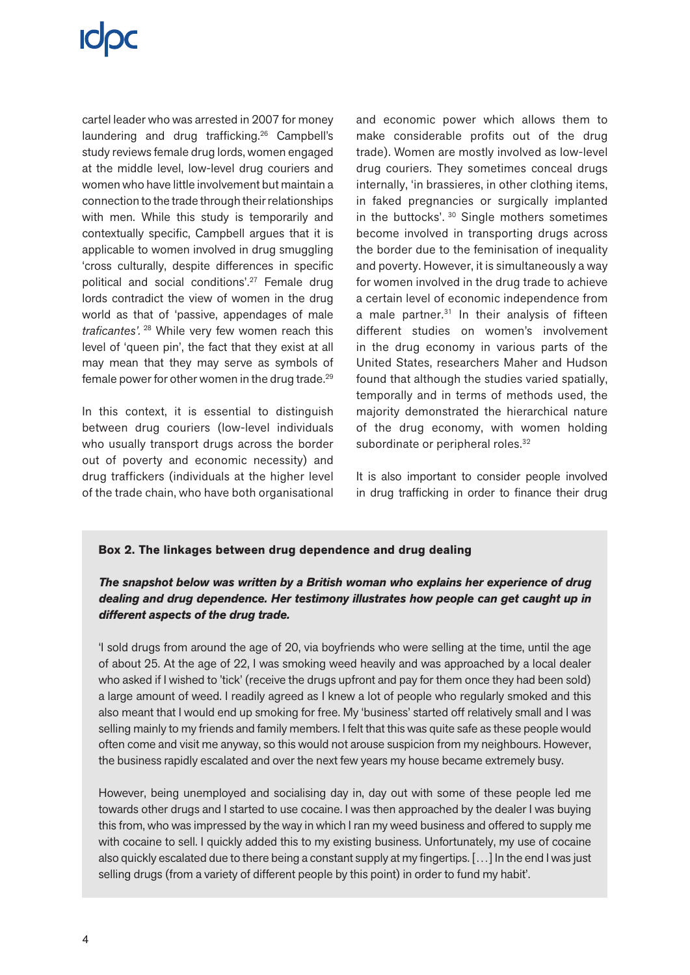cartel leader who was arrested in 2007 for money laundering and drug trafficking.26 Campbell's study reviews female drug lords, women engaged at the middle level, low-level drug couriers and women who have little involvement but maintain a connection to the trade through their relationships with men. While this study is temporarily and contextually specific, Campbell argues that it is applicable to women involved in drug smuggling 'cross culturally, despite differences in specific political and social conditions'.27 Female drug lords contradict the view of women in the drug world as that of 'passive, appendages of male *traficantes'.*<sup>28</sup> While very few women reach this level of 'queen pin', the fact that they exist at all may mean that they may serve as symbols of female power for other women in the drug trade.29

In this context, it is essential to distinguish between drug couriers (low-level individuals who usually transport drugs across the border out of poverty and economic necessity) and drug traffickers (individuals at the higher level of the trade chain, who have both organisational and economic power which allows them to make considerable profits out of the drug trade). Women are mostly involved as low-level drug couriers. They sometimes conceal drugs internally, 'in brassieres, in other clothing items, in faked pregnancies or surgically implanted in the buttocks'. 30 Single mothers sometimes become involved in transporting drugs across the border due to the feminisation of inequality and poverty. However, it is simultaneously a way for women involved in the drug trade to achieve a certain level of economic independence from a male partner.<sup>31</sup> In their analysis of fifteen different studies on women's involvement in the drug economy in various parts of the United States, researchers Maher and Hudson found that although the studies varied spatially, temporally and in terms of methods used, the majority demonstrated the hierarchical nature of the drug economy, with women holding subordinate or peripheral roles.<sup>32</sup>

It is also important to consider people involved in drug trafficking in order to finance their drug

### **Box 2. The linkages between drug dependence and drug dealing**

### *The snapshot below was written by a British woman who explains her experience of drug dealing and drug dependence. Her testimony illustrates how people can get caught up in different aspects of the drug trade.*

'I sold drugs from around the age of 20, via boyfriends who were selling at the time, until the age of about 25. At the age of 22, I was smoking weed heavily and was approached by a local dealer who asked if I wished to 'tick' (receive the drugs upfront and pay for them once they had been sold) a large amount of weed. I readily agreed as I knew a lot of people who regularly smoked and this also meant that I would end up smoking for free. My 'business' started off relatively small and I was selling mainly to my friends and family members. I felt that this was quite safe as these people would often come and visit me anyway, so this would not arouse suspicion from my neighbours. However, the business rapidly escalated and over the next few years my house became extremely busy.

However, being unemployed and socialising day in, day out with some of these people led me towards other drugs and I started to use cocaine. I was then approached by the dealer I was buying this from, who was impressed by the way in which I ran my weed business and offered to supply me with cocaine to sell. I quickly added this to my existing business. Unfortunately, my use of cocaine also quickly escalated due to there being a constant supply at my fingertips. […] In the end I was just selling drugs (from a variety of different people by this point) in order to fund my habit'.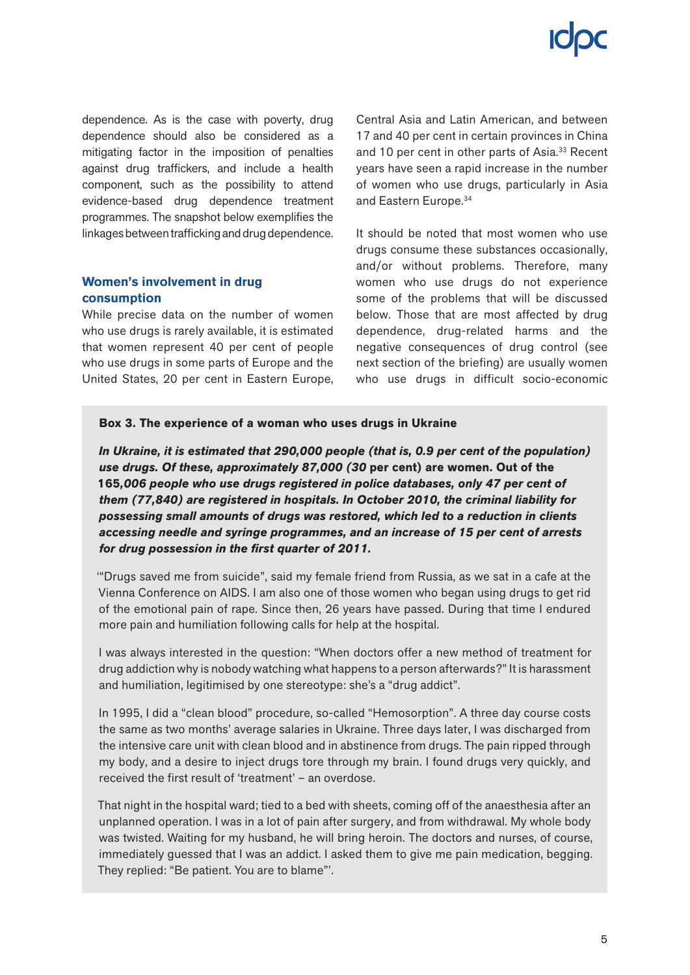dependence. As is the case with poverty, drug dependence should also be considered as a mitigating factor in the imposition of penalties against drug traffickers, and include a health component, such as the possibility to attend evidence-based drug dependence treatment programmes. The snapshot below exemplifies the linkages between trafficking and drug dependence.

#### **Women's involvement in drug consumption**

While precise data on the number of women who use drugs is rarely available, it is estimated that women represent 40 per cent of people who use drugs in some parts of Europe and the United States, 20 per cent in Eastern Europe, Central Asia and Latin American, and between 17 and 40 per cent in certain provinces in China and 10 per cent in other parts of Asia.<sup>33</sup> Recent years have seen a rapid increase in the number of women who use drugs, particularly in Asia and Eastern Europe.34

It should be noted that most women who use drugs consume these substances occasionally, and/or without problems. Therefore, many women who use drugs do not experience some of the problems that will be discussed below. Those that are most affected by drug dependence, drug-related harms and the negative consequences of drug control (see next section of the briefing) are usually women who use drugs in difficult socio-economic

#### **Box 3. The experience of a woman who uses drugs in Ukraine**

*In Ukraine, it is estimated that 290,000 people (that is, 0.9 per cent of the population) use drugs. Of these, approximately 87,000 (30* **per cent) are women. Out of the 165***,006 people who use drugs registered in police databases, only 47 per cent of them (77,840) are registered in hospitals. In October 2010, the criminal liability for possessing small amounts of drugs was restored, which led to a reduction in clients accessing needle and syringe programmes, and an increase of 15 per cent of arrests for drug possession in the first quarter of 2011.*

'"Drugs saved me from suicide", said my female friend from Russia, as we sat in a cafe at the Vienna Conference on AIDS. I am also one of those women who began using drugs to get rid of the emotional pain of rape. Since then, 26 years have passed. During that time I endured more pain and humiliation following calls for help at the hospital.

I was always interested in the question: "When doctors offer a new method of treatment for drug addiction why is nobody watching what happens to a person afterwards?" It is harassment and humiliation, legitimised by one stereotype: she's a "drug addict".

In 1995, I did a "clean blood" procedure, so-called "Hemosorption". A three day course costs the same as two months' average salaries in Ukraine. Three days later, I was discharged from the intensive care unit with clean blood and in abstinence from drugs. The pain ripped through my body, and a desire to inject drugs tore through my brain. I found drugs very quickly, and received the first result of 'treatment' – an overdose.

That night in the hospital ward; tied to a bed with sheets, coming off of the anaesthesia after an unplanned operation. I was in a lot of pain after surgery, and from withdrawal. My whole body was twisted. Waiting for my husband, he will bring heroin. The doctors and nurses, of course, immediately guessed that I was an addict. I asked them to give me pain medication, begging. They replied: "Be patient. You are to blame"'.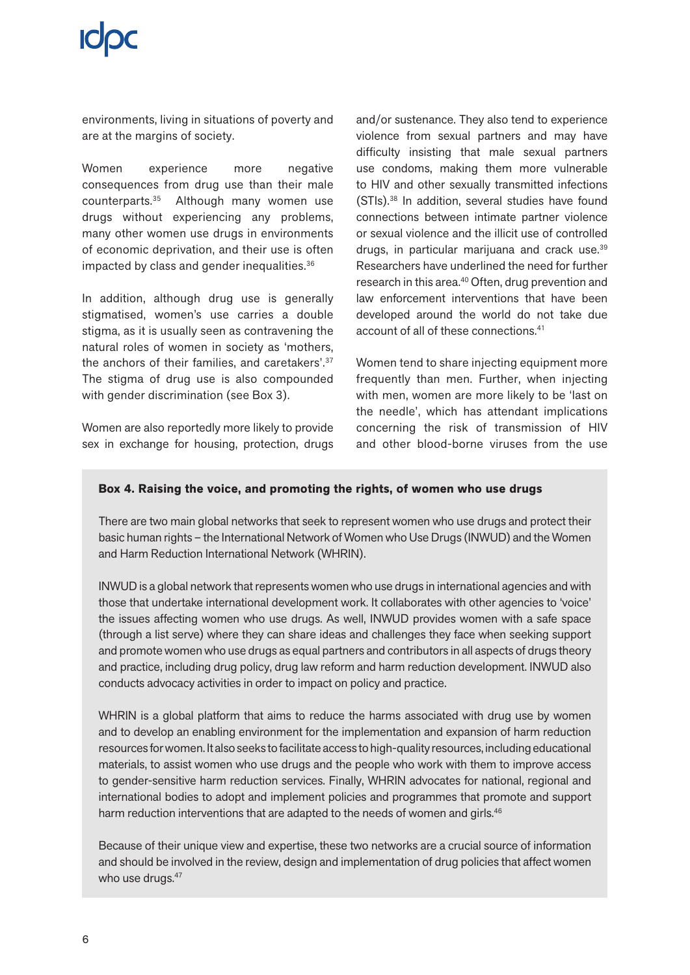environments, living in situations of poverty and are at the margins of society.

Women experience more negative consequences from drug use than their male counterparts.35 Although many women use drugs without experiencing any problems, many other women use drugs in environments of economic deprivation, and their use is often impacted by class and gender inequalities.<sup>36</sup>

In addition, although drug use is generally stigmatised, women's use carries a double stigma, as it is usually seen as contravening the natural roles of women in society as 'mothers, the anchors of their families, and caretakers'.37 The stigma of drug use is also compounded with gender discrimination (see Box 3).

Women are also reportedly more likely to provide sex in exchange for housing, protection, drugs and/or sustenance. They also tend to experience violence from sexual partners and may have difficulty insisting that male sexual partners use condoms, making them more vulnerable to HIV and other sexually transmitted infections (STIs).38 In addition, several studies have found connections between intimate partner violence or sexual violence and the illicit use of controlled drugs, in particular marijuana and crack use.39 Researchers have underlined the need for further research in this area.<sup>40</sup> Often, drug prevention and law enforcement interventions that have been developed around the world do not take due account of all of these connections.41

Women tend to share injecting equipment more frequently than men. Further, when injecting with men, women are more likely to be 'last on the needle', which has attendant implications concerning the risk of transmission of HIV and other blood-borne viruses from the use

### **Box 4. Raising the voice, and promoting the rights, of women who use drugs**

There are two main global networks that seek to represent women who use drugs and protect their basic human rights – the International Network of Women who Use Drugs (INWUD) and the Women and Harm Reduction International Network (WHRIN).

INWUD is a global network that represents women who use drugs in international agencies and with those that undertake international development work. It collaborates with other agencies to 'voice' the issues affecting women who use drugs. As well, INWUD provides women with a safe space (through a list serve) where they can share ideas and challenges they face when seeking support and promote women who use drugs as equal partners and contributors in all aspects of drugs theory and practice, including drug policy, drug law reform and harm reduction development. INWUD also conducts advocacy activities in order to impact on policy and practice.

WHRIN is a global platform that aims to reduce the harms associated with drug use by women and to develop an enabling environment for the implementation and expansion of harm reduction resources for women. It also seeks to facilitate access to high-quality resources, including educational materials, to assist women who use drugs and the people who work with them to improve access to gender-sensitive harm reduction services. Finally, WHRIN advocates for national, regional and international bodies to adopt and implement policies and programmes that promote and support harm reduction interventions that are adapted to the needs of women and girls.<sup>46</sup>

Because of their unique view and expertise, these two networks are a crucial source of information and should be involved in the review, design and implementation of drug policies that affect women who use drugs.<sup>47</sup>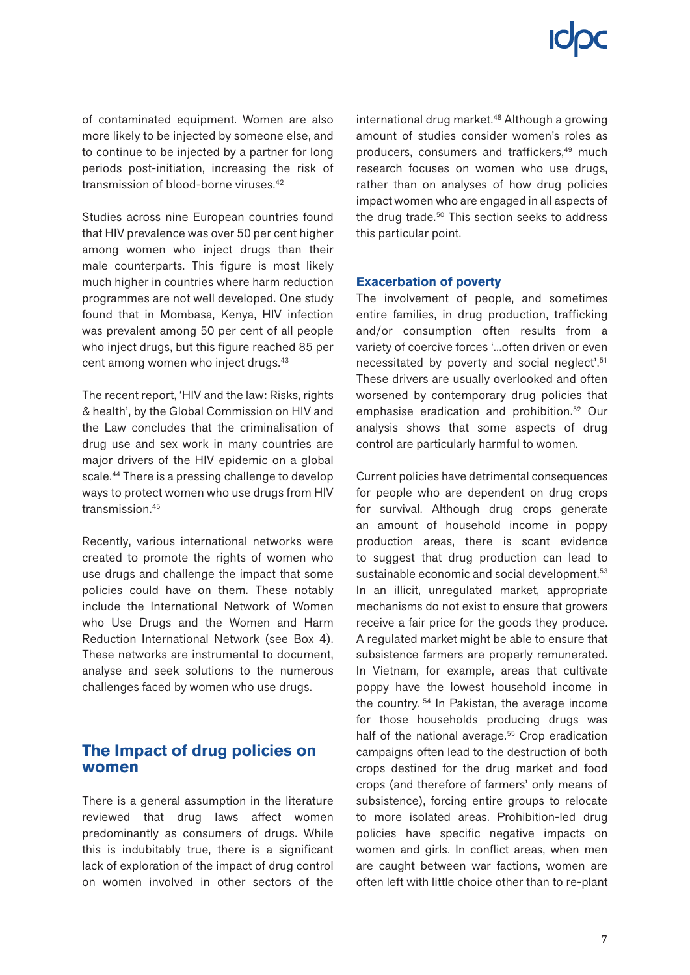of contaminated equipment. Women are also more likely to be injected by someone else, and to continue to be injected by a partner for long periods post-initiation, increasing the risk of transmission of blood-borne viruses.42

Studies across nine European countries found that HIV prevalence was over 50 per cent higher among women who inject drugs than their male counterparts. This figure is most likely much higher in countries where harm reduction programmes are not well developed. One study found that in Mombasa, Kenya, HIV infection was prevalent among 50 per cent of all people who inject drugs, but this figure reached 85 per cent among women who inject drugs.43

The recent report, 'HIV and the law: Risks, rights & health', by the Global Commission on HIV and the Law concludes that the criminalisation of drug use and sex work in many countries are major drivers of the HIV epidemic on a global scale.<sup>44</sup> There is a pressing challenge to develop ways to protect women who use drugs from HIV transmission.45

Recently, various international networks were created to promote the rights of women who use drugs and challenge the impact that some policies could have on them. These notably include the International Network of Women who Use Drugs and the Women and Harm Reduction International Network (see Box 4). These networks are instrumental to document, analyse and seek solutions to the numerous challenges faced by women who use drugs.

### **The Impact of drug policies on women**

There is a general assumption in the literature reviewed that drug laws affect women predominantly as consumers of drugs. While this is indubitably true, there is a significant lack of exploration of the impact of drug control on women involved in other sectors of the international drug market.<sup>48</sup> Although a growing amount of studies consider women's roles as producers, consumers and traffickers,<sup>49</sup> much research focuses on women who use drugs, rather than on analyses of how drug policies impact women who are engaged in all aspects of the drug trade.<sup>50</sup> This section seeks to address this particular point.

#### **Exacerbation of poverty**

The involvement of people, and sometimes entire families, in drug production, trafficking and/or consumption often results from a variety of coercive forces '...often driven or even necessitated by poverty and social neglect'.51 These drivers are usually overlooked and often worsened by contemporary drug policies that emphasise eradication and prohibition.52 Our analysis shows that some aspects of drug control are particularly harmful to women.

Current policies have detrimental consequences for people who are dependent on drug crops for survival. Although drug crops generate an amount of household income in poppy production areas, there is scant evidence to suggest that drug production can lead to sustainable economic and social development.<sup>53</sup> In an illicit, unregulated market, appropriate mechanisms do not exist to ensure that growers receive a fair price for the goods they produce. A regulated market might be able to ensure that subsistence farmers are properly remunerated. In Vietnam, for example, areas that cultivate poppy have the lowest household income in the country. 54 In Pakistan, the average income for those households producing drugs was half of the national average.<sup>55</sup> Crop eradication campaigns often lead to the destruction of both crops destined for the drug market and food crops (and therefore of farmers' only means of subsistence), forcing entire groups to relocate to more isolated areas. Prohibition-led drug policies have specific negative impacts on women and girls. In conflict areas, when men are caught between war factions, women are often left with little choice other than to re-plant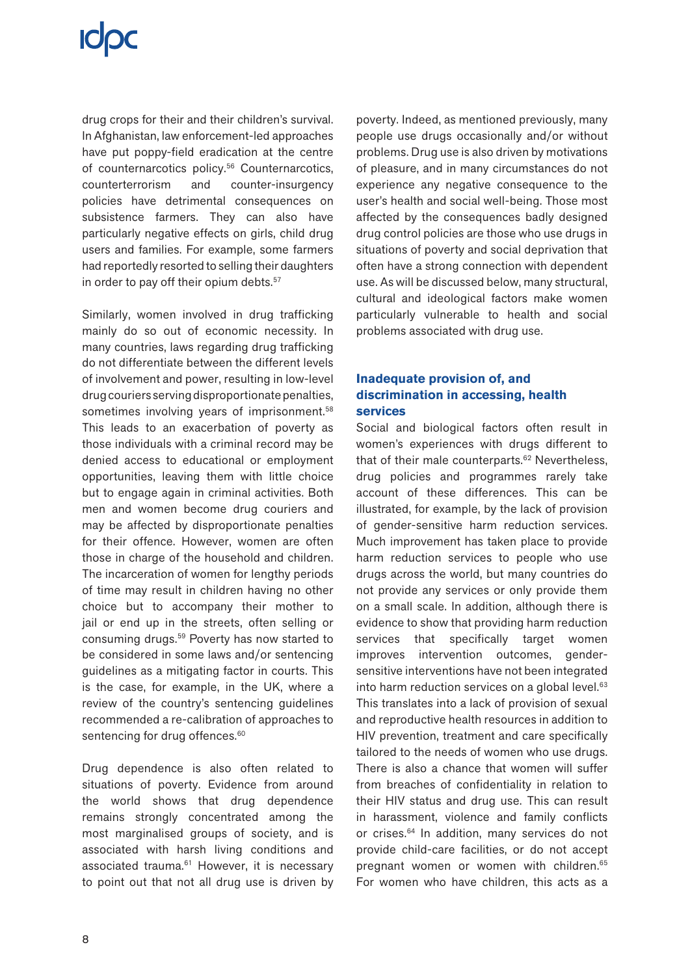drug crops for their and their children's survival. In Afghanistan, law enforcement-led approaches have put poppy-field eradication at the centre of counternarcotics policy.<sup>56</sup> Counternarcotics, counterterrorism and counter-insurgency policies have detrimental consequences on subsistence farmers. They can also have particularly negative effects on girls, child drug users and families. For example, some farmers had reportedly resorted to selling their daughters in order to pay off their opium debts.<sup>57</sup>

Similarly, women involved in drug trafficking mainly do so out of economic necessity. In many countries, laws regarding drug trafficking do not differentiate between the different levels of involvement and power, resulting in low-level drug couriers serving disproportionate penalties, sometimes involving years of imprisonment.<sup>58</sup> This leads to an exacerbation of poverty as those individuals with a criminal record may be denied access to educational or employment opportunities, leaving them with little choice but to engage again in criminal activities. Both men and women become drug couriers and may be affected by disproportionate penalties for their offence. However, women are often those in charge of the household and children. The incarceration of women for lengthy periods of time may result in children having no other choice but to accompany their mother to jail or end up in the streets, often selling or consuming drugs.59 Poverty has now started to be considered in some laws and/or sentencing guidelines as a mitigating factor in courts. This is the case, for example, in the UK, where a review of the country's sentencing guidelines recommended a re-calibration of approaches to sentencing for drug offences.<sup>60</sup>

Drug dependence is also often related to situations of poverty. Evidence from around the world shows that drug dependence remains strongly concentrated among the most marginalised groups of society, and is associated with harsh living conditions and associated trauma.<sup>61</sup> However, it is necessary to point out that not all drug use is driven by poverty. Indeed, as mentioned previously, many people use drugs occasionally and/or without problems. Drug use is also driven by motivations of pleasure, and in many circumstances do not experience any negative consequence to the user's health and social well-being. Those most affected by the consequences badly designed drug control policies are those who use drugs in situations of poverty and social deprivation that often have a strong connection with dependent use. As will be discussed below, many structural, cultural and ideological factors make women particularly vulnerable to health and social problems associated with drug use.

### **Inadequate provision of, and discrimination in accessing, health services**

Social and biological factors often result in women's experiences with drugs different to that of their male counterparts.<sup>62</sup> Nevertheless, drug policies and programmes rarely take account of these differences. This can be illustrated, for example, by the lack of provision of gender-sensitive harm reduction services. Much improvement has taken place to provide harm reduction services to people who use drugs across the world, but many countries do not provide any services or only provide them on a small scale. In addition, although there is evidence to show that providing harm reduction services that specifically target women improves intervention outcomes, gendersensitive interventions have not been integrated into harm reduction services on a global level.<sup>63</sup> This translates into a lack of provision of sexual and reproductive health resources in addition to HIV prevention, treatment and care specifically tailored to the needs of women who use drugs. There is also a chance that women will suffer from breaches of confidentiality in relation to their HIV status and drug use. This can result in harassment, violence and family conflicts or crises.64 In addition, many services do not provide child-care facilities, or do not accept pregnant women or women with children.<sup>65</sup> For women who have children, this acts as a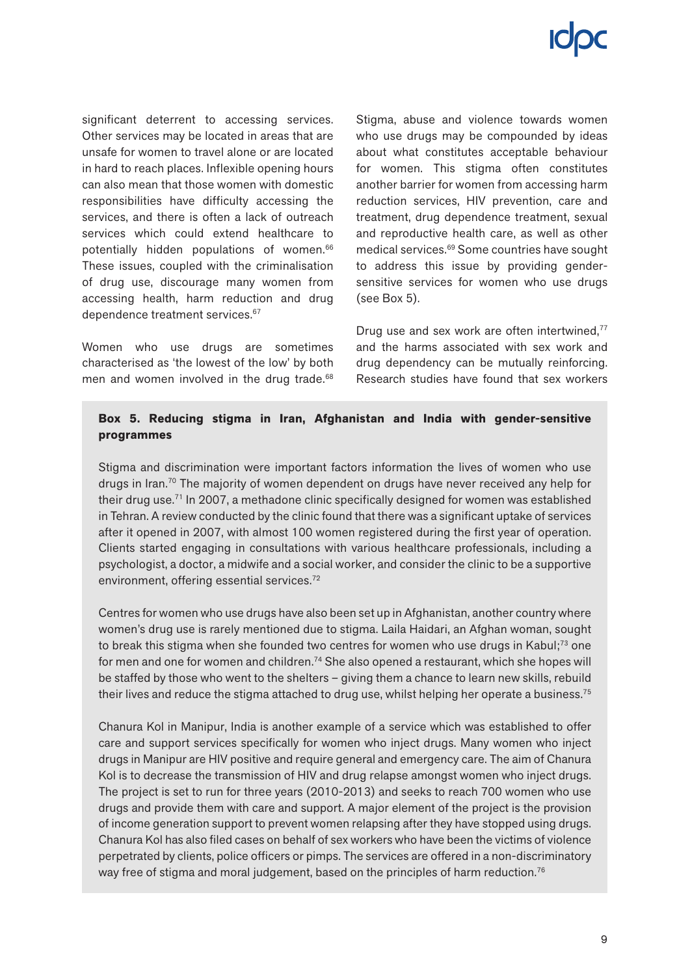significant deterrent to accessing services. Other services may be located in areas that are unsafe for women to travel alone or are located in hard to reach places. Inflexible opening hours can also mean that those women with domestic responsibilities have difficulty accessing the services, and there is often a lack of outreach services which could extend healthcare to potentially hidden populations of women.66 These issues, coupled with the criminalisation of drug use, discourage many women from accessing health, harm reduction and drug dependence treatment services.<sup>67</sup>

Women who use drugs are sometimes characterised as 'the lowest of the low' by both men and women involved in the drug trade.<sup>68</sup> Stigma, abuse and violence towards women who use drugs may be compounded by ideas about what constitutes acceptable behaviour for women. This stigma often constitutes another barrier for women from accessing harm reduction services, HIV prevention, care and treatment, drug dependence treatment, sexual and reproductive health care, as well as other medical services.69 Some countries have sought to address this issue by providing gendersensitive services for women who use drugs (see Box 5).

Drug use and sex work are often intertwined,<sup>77</sup> and the harms associated with sex work and drug dependency can be mutually reinforcing. Research studies have found that sex workers

#### **Box 5. Reducing stigma in Iran, Afghanistan and India with gender-sensitive programmes**

Stigma and discrimination were important factors information the lives of women who use drugs in Iran.<sup>70</sup> The majority of women dependent on drugs have never received any help for their drug use.71 In 2007, a methadone clinic specifically designed for women was established in Tehran. A review conducted by the clinic found that there was a significant uptake of services after it opened in 2007, with almost 100 women registered during the first year of operation. Clients started engaging in consultations with various healthcare professionals, including a psychologist, a doctor, a midwife and a social worker, and consider the clinic to be a supportive environment, offering essential services.72

Centres for women who use drugs have also been set up in Afghanistan, another country where women's drug use is rarely mentioned due to stigma. Laila Haidari, an Afghan woman, sought to break this stigma when she founded two centres for women who use drugs in Kabul;<sup>73</sup> one for men and one for women and children.<sup>74</sup> She also opened a restaurant, which she hopes will be staffed by those who went to the shelters – giving them a chance to learn new skills, rebuild their lives and reduce the stigma attached to drug use, whilst helping her operate a business.<sup>75</sup>

Chanura Kol in Manipur, India is another example of a service which was established to offer care and support services specifically for women who inject drugs. Many women who inject drugs in Manipur are HIV positive and require general and emergency care. The aim of Chanura Kol is to decrease the transmission of HIV and drug relapse amongst women who inject drugs. The project is set to run for three years (2010-2013) and seeks to reach 700 women who use drugs and provide them with care and support. A major element of the project is the provision of income generation support to prevent women relapsing after they have stopped using drugs. Chanura Kol has also filed cases on behalf of sex workers who have been the victims of violence perpetrated by clients, police officers or pimps. The services are offered in a non-discriminatory way free of stigma and moral judgement, based on the principles of harm reduction.<sup>76</sup>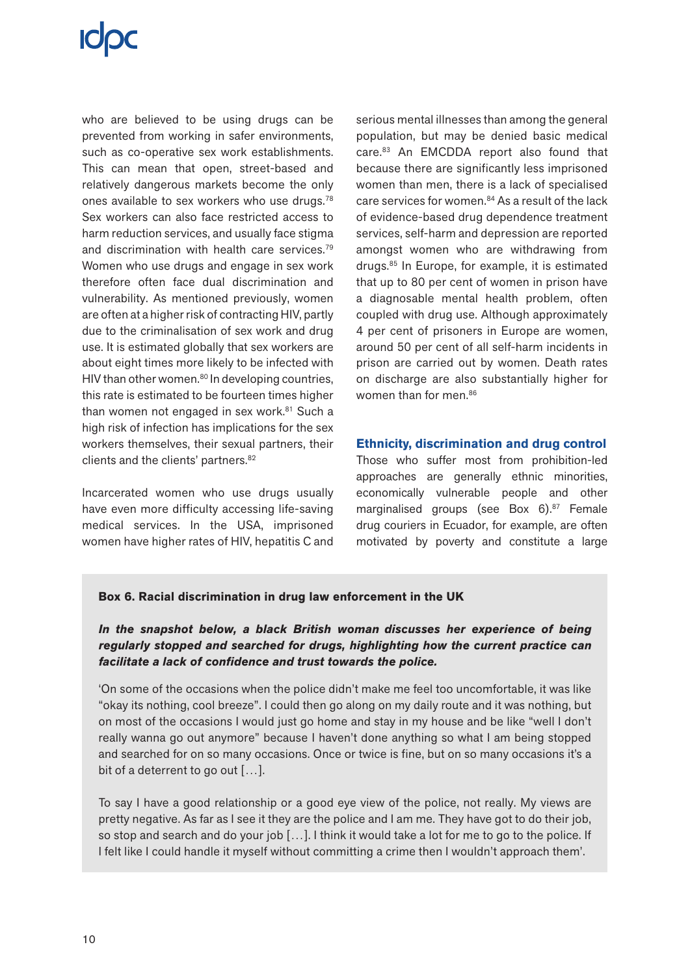who are believed to be using drugs can be prevented from working in safer environments, such as co-operative sex work establishments. This can mean that open, street-based and relatively dangerous markets become the only ones available to sex workers who use drugs.78 Sex workers can also face restricted access to harm reduction services, and usually face stigma and discrimination with health care services.79 Women who use drugs and engage in sex work therefore often face dual discrimination and vulnerability. As mentioned previously, women are often at a higher risk of contracting HIV, partly due to the criminalisation of sex work and drug use. It is estimated globally that sex workers are about eight times more likely to be infected with HIV than other women. $80$  In developing countries, this rate is estimated to be fourteen times higher than women not engaged in sex work.<sup>81</sup> Such a high risk of infection has implications for the sex workers themselves, their sexual partners, their clients and the clients' partners.<sup>82</sup>

Incarcerated women who use drugs usually have even more difficulty accessing life-saving medical services. In the USA, imprisoned women have higher rates of HIV, hepatitis C and serious mental illnesses than among the general population, but may be denied basic medical care.83 An EMCDDA report also found that because there are significantly less imprisoned women than men, there is a lack of specialised care services for women.<sup>84</sup> As a result of the lack of evidence-based drug dependence treatment services, self-harm and depression are reported amongst women who are withdrawing from drugs.85 In Europe, for example, it is estimated that up to 80 per cent of women in prison have a diagnosable mental health problem, often coupled with drug use. Although approximately 4 per cent of prisoners in Europe are women, around 50 per cent of all self-harm incidents in prison are carried out by women. Death rates on discharge are also substantially higher for women than for men.<sup>86</sup>

#### **Ethnicity, discrimination and drug control**

Those who suffer most from prohibition-led approaches are generally ethnic minorities, economically vulnerable people and other marginalised groups (see Box 6).<sup>87</sup> Female drug couriers in Ecuador, for example, are often motivated by poverty and constitute a large

#### **Box 6. Racial discrimination in drug law enforcement in the UK**

### *In the snapshot below, a black British woman discusses her experience of being regularly stopped and searched for drugs, highlighting how the current practice can facilitate a lack of confidence and trust towards the police.*

'On some of the occasions when the police didn't make me feel too uncomfortable, it was like "okay its nothing, cool breeze". I could then go along on my daily route and it was nothing, but on most of the occasions I would just go home and stay in my house and be like "well I don't really wanna go out anymore" because I haven't done anything so what I am being stopped and searched for on so many occasions. Once or twice is fine, but on so many occasions it's a bit of a deterrent to go out […].

To say I have a good relationship or a good eye view of the police, not really. My views are pretty negative. As far as I see it they are the police and I am me. They have got to do their job, so stop and search and do your job […]. I think it would take a lot for me to go to the police. If I felt like I could handle it myself without committing a crime then I wouldn't approach them'.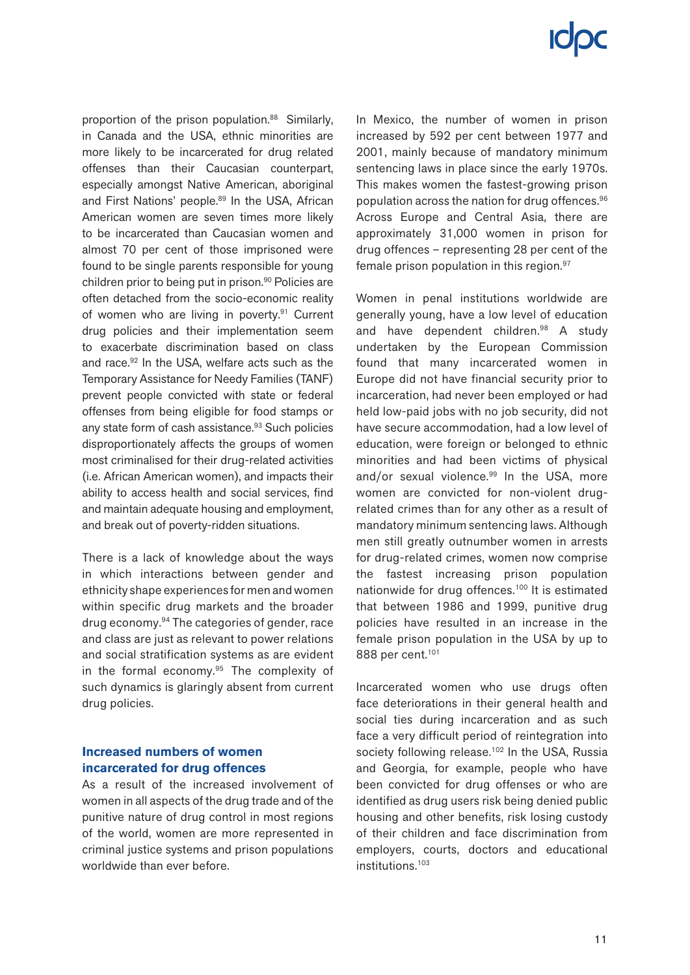proportion of the prison population.<sup>88</sup> Similarly, in Canada and the USA, ethnic minorities are more likely to be incarcerated for drug related offenses than their Caucasian counterpart, especially amongst Native American, aboriginal and First Nations' people.<sup>89</sup> In the USA, African American women are seven times more likely to be incarcerated than Caucasian women and almost 70 per cent of those imprisoned were found to be single parents responsible for young children prior to being put in prison.90 Policies are often detached from the socio-economic reality of women who are living in poverty.<sup>91</sup> Current drug policies and their implementation seem to exacerbate discrimination based on class and race.92 In the USA, welfare acts such as the Temporary Assistance for Needy Families (TANF) prevent people convicted with state or federal offenses from being eligible for food stamps or any state form of cash assistance.<sup>93</sup> Such policies disproportionately affects the groups of women most criminalised for their drug-related activities (i.e. African American women), and impacts their ability to access health and social services, find and maintain adequate housing and employment, and break out of poverty-ridden situations.

There is a lack of knowledge about the ways in which interactions between gender and ethnicity shape experiences for men and women within specific drug markets and the broader drug economy.94 The categories of gender, race and class are just as relevant to power relations and social stratification systems as are evident in the formal economy.<sup>95</sup> The complexity of such dynamics is glaringly absent from current drug policies.

### **Increased numbers of women incarcerated for drug offences**

As a result of the increased involvement of women in all aspects of the drug trade and of the punitive nature of drug control in most regions of the world, women are more represented in criminal justice systems and prison populations worldwide than ever before.

In Mexico, the number of women in prison increased by 592 per cent between 1977 and 2001, mainly because of mandatory minimum sentencing laws in place since the early 1970s. This makes women the fastest-growing prison population across the nation for drug offences.96 Across Europe and Central Asia, there are approximately 31,000 women in prison for drug offences – representing 28 per cent of the female prison population in this region.<sup>97</sup>

Women in penal institutions worldwide are generally young, have a low level of education and have dependent children.<sup>98</sup> A study undertaken by the European Commission found that many incarcerated women in Europe did not have financial security prior to incarceration, had never been employed or had held low-paid jobs with no job security, did not have secure accommodation, had a low level of education, were foreign or belonged to ethnic minorities and had been victims of physical and/or sexual violence.<sup>99</sup> In the USA, more women are convicted for non-violent drugrelated crimes than for any other as a result of mandatory minimum sentencing laws. Although men still greatly outnumber women in arrests for drug-related crimes, women now comprise the fastest increasing prison population nationwide for drug offences.<sup>100</sup> It is estimated that between 1986 and 1999, punitive drug policies have resulted in an increase in the female prison population in the USA by up to 888 per cent.101

Incarcerated women who use drugs often face deteriorations in their general health and social ties during incarceration and as such face a very difficult period of reintegration into society following release.<sup>102</sup> In the USA, Russia and Georgia, for example, people who have been convicted for drug offenses or who are identified as drug users risk being denied public housing and other benefits, risk losing custody of their children and face discrimination from employers, courts, doctors and educational institutions.103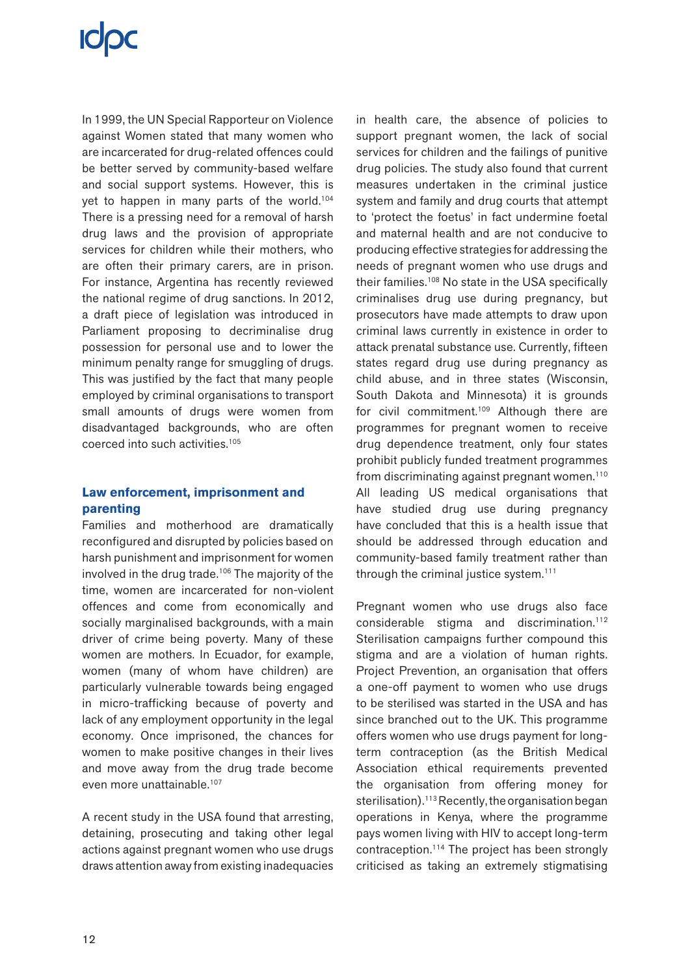In 1999, the UN Special Rapporteur on Violence against Women stated that many women who are incarcerated for drug-related offences could be better served by community-based welfare and social support systems. However, this is yet to happen in many parts of the world.104 There is a pressing need for a removal of harsh drug laws and the provision of appropriate services for children while their mothers, who are often their primary carers, are in prison. For instance, Argentina has recently reviewed the national regime of drug sanctions. In 2012, a draft piece of legislation was introduced in Parliament proposing to decriminalise drug possession for personal use and to lower the minimum penalty range for smuggling of drugs. This was justified by the fact that many people employed by criminal organisations to transport small amounts of drugs were women from disadvantaged backgrounds, who are often coerced into such activities.105

### **Law enforcement, imprisonment and parenting**

Families and motherhood are dramatically reconfigured and disrupted by policies based on harsh punishment and imprisonment for women involved in the drug trade.<sup>106</sup> The majority of the time, women are incarcerated for non-violent offences and come from economically and socially marginalised backgrounds, with a main driver of crime being poverty. Many of these women are mothers. In Ecuador, for example, women (many of whom have children) are particularly vulnerable towards being engaged in micro-trafficking because of poverty and lack of any employment opportunity in the legal economy. Once imprisoned, the chances for women to make positive changes in their lives and move away from the drug trade become even more unattainable.107

A recent study in the USA found that arresting, detaining, prosecuting and taking other legal actions against pregnant women who use drugs draws attention away from existing inadequacies in health care, the absence of policies to support pregnant women, the lack of social services for children and the failings of punitive drug policies. The study also found that current measures undertaken in the criminal justice system and family and drug courts that attempt to 'protect the foetus' in fact undermine foetal and maternal health and are not conducive to producing effective strategies for addressing the needs of pregnant women who use drugs and their families.108 No state in the USA specifically criminalises drug use during pregnancy, but prosecutors have made attempts to draw upon criminal laws currently in existence in order to attack prenatal substance use. Currently, fifteen states regard drug use during pregnancy as child abuse, and in three states (Wisconsin, South Dakota and Minnesota) it is grounds for civil commitment.<sup>109</sup> Although there are programmes for pregnant women to receive drug dependence treatment, only four states prohibit publicly funded treatment programmes from discriminating against pregnant women.<sup>110</sup> All leading US medical organisations that have studied drug use during pregnancy have concluded that this is a health issue that should be addressed through education and community-based family treatment rather than through the criminal justice system.111

Pregnant women who use drugs also face considerable stigma and discrimination.112 Sterilisation campaigns further compound this stigma and are a violation of human rights. Project Prevention, an organisation that offers a one-off payment to women who use drugs to be sterilised was started in the USA and has since branched out to the UK. This programme offers women who use drugs payment for longterm contraception (as the British Medical Association ethical requirements prevented the organisation from offering money for sterilisation).<sup>113</sup> Recently, the organisation began operations in Kenya, where the programme pays women living with HIV to accept long-term contraception.114 The project has been strongly criticised as taking an extremely stigmatising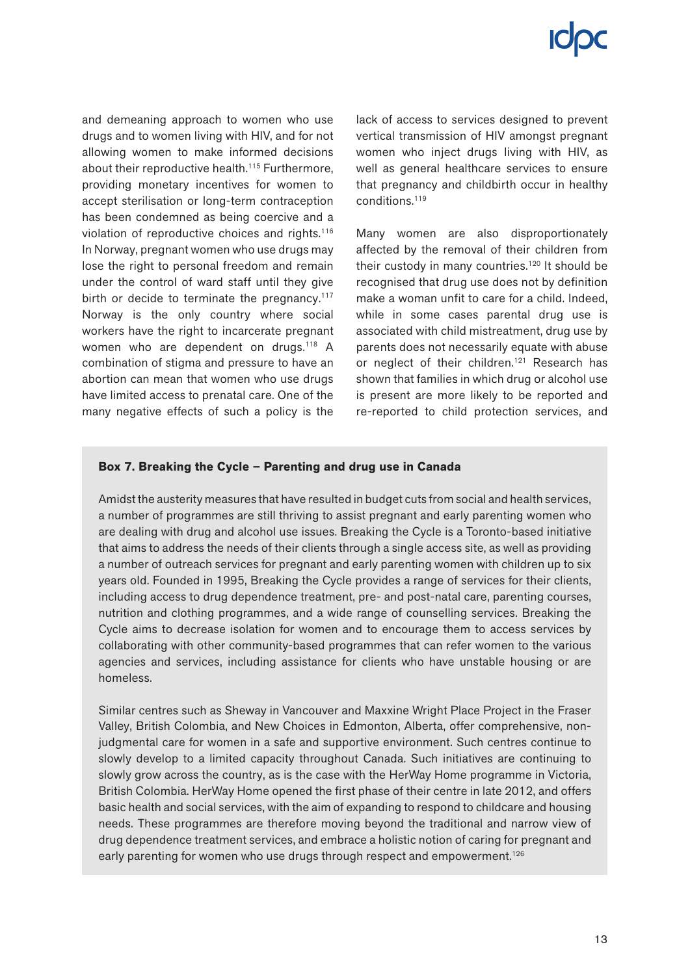and demeaning approach to women who use drugs and to women living with HIV, and for not allowing women to make informed decisions about their reproductive health.<sup>115</sup> Furthermore, providing monetary incentives for women to accept sterilisation or long-term contraception has been condemned as being coercive and a violation of reproductive choices and rights.116 In Norway, pregnant women who use drugs may lose the right to personal freedom and remain under the control of ward staff until they give birth or decide to terminate the pregnancy.<sup>117</sup> Norway is the only country where social workers have the right to incarcerate pregnant women who are dependent on drugs.<sup>118</sup> A combination of stigma and pressure to have an abortion can mean that women who use drugs have limited access to prenatal care. One of the many negative effects of such a policy is the lack of access to services designed to prevent vertical transmission of HIV amongst pregnant women who inject drugs living with HIV, as well as general healthcare services to ensure that pregnancy and childbirth occur in healthy conditions.119

Many women are also disproportionately affected by the removal of their children from their custody in many countries.<sup>120</sup> It should be recognised that drug use does not by definition make a woman unfit to care for a child. Indeed, while in some cases parental drug use is associated with child mistreatment, drug use by parents does not necessarily equate with abuse or neglect of their children.<sup>121</sup> Research has shown that families in which drug or alcohol use is present are more likely to be reported and re-reported to child protection services, and

### **Box 7. Breaking the Cycle – Parenting and drug use in Canada**

Amidst the austerity measures that have resulted in budget cuts from social and health services, a number of programmes are still thriving to assist pregnant and early parenting women who are dealing with drug and alcohol use issues. Breaking the Cycle is a Toronto-based initiative that aims to address the needs of their clients through a single access site, as well as providing a number of outreach services for pregnant and early parenting women with children up to six years old. Founded in 1995, Breaking the Cycle provides a range of services for their clients, including access to drug dependence treatment, pre- and post-natal care, parenting courses, nutrition and clothing programmes, and a wide range of counselling services. Breaking the Cycle aims to decrease isolation for women and to encourage them to access services by collaborating with other community-based programmes that can refer women to the various agencies and services, including assistance for clients who have unstable housing or are homeless.

Similar centres such as Sheway in Vancouver and Maxxine Wright Place Project in the Fraser Valley, British Colombia, and New Choices in Edmonton, Alberta, offer comprehensive, nonjudgmental care for women in a safe and supportive environment. Such centres continue to slowly develop to a limited capacity throughout Canada. Such initiatives are continuing to slowly grow across the country, as is the case with the HerWay Home programme in Victoria, British Colombia. HerWay Home opened the first phase of their centre in late 2012, and offers basic health and social services, with the aim of expanding to respond to childcare and housing needs. These programmes are therefore moving beyond the traditional and narrow view of drug dependence treatment services, and embrace a holistic notion of caring for pregnant and early parenting for women who use drugs through respect and empowerment.<sup>126</sup>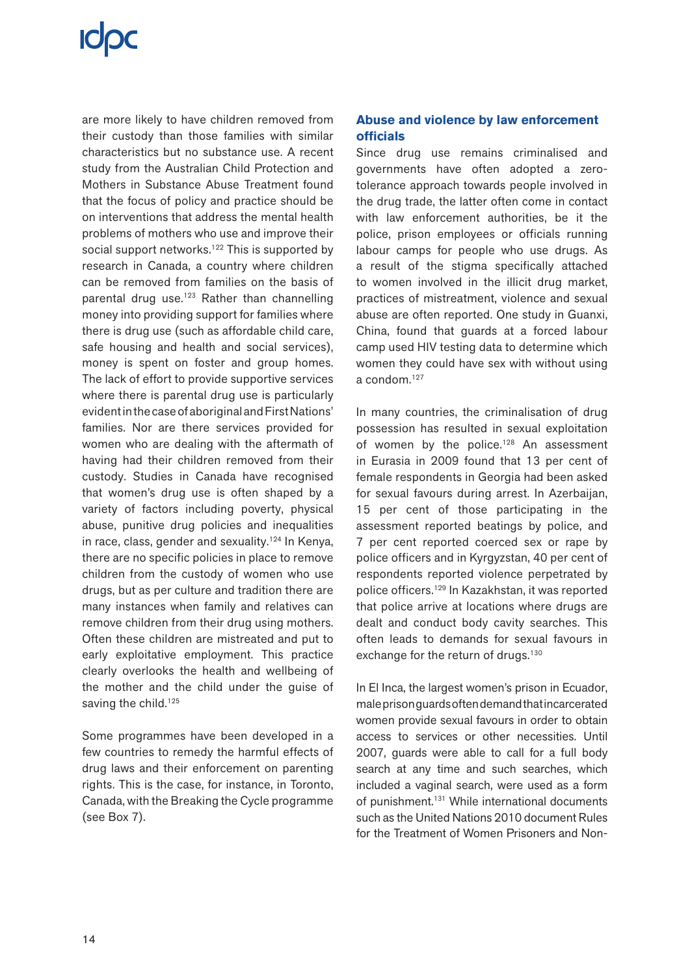are more likely to have children removed from their custody than those families with similar characteristics but no substance use. A recent study from the Australian Child Protection and Mothers in Substance Abuse Treatment found that the focus of policy and practice should be on interventions that address the mental health problems of mothers who use and improve their social support networks.<sup>122</sup> This is supported by research in Canada, a country where children can be removed from families on the basis of parental drug use.<sup>123</sup> Rather than channelling money into providing support for families where there is drug use (such as affordable child care, safe housing and health and social services), money is spent on foster and group homes. The lack of effort to provide supportive services where there is parental drug use is particularly evident in the case of aboriginal and First Nations' families. Nor are there services provided for women who are dealing with the aftermath of having had their children removed from their custody. Studies in Canada have recognised that women's drug use is often shaped by a variety of factors including poverty, physical abuse, punitive drug policies and inequalities in race, class, gender and sexuality.<sup>124</sup> In Kenya, there are no specific policies in place to remove children from the custody of women who use drugs, but as per culture and tradition there are many instances when family and relatives can remove children from their drug using mothers. Often these children are mistreated and put to early exploitative employment. This practice clearly overlooks the health and wellbeing of the mother and the child under the guise of saving the child.<sup>125</sup>

Some programmes have been developed in a few countries to remedy the harmful effects of drug laws and their enforcement on parenting rights. This is the case, for instance, in Toronto, Canada, with the Breaking the Cycle programme (see Box 7).

### **Abuse and violence by law enforcement officials**

Since drug use remains criminalised and governments have often adopted a zerotolerance approach towards people involved in the drug trade, the latter often come in contact with law enforcement authorities, be it the police, prison employees or officials running labour camps for people who use drugs. As a result of the stigma specifically attached to women involved in the illicit drug market, practices of mistreatment, violence and sexual abuse are often reported. One study in Guanxi, China, found that guards at a forced labour camp used HIV testing data to determine which women they could have sex with without using a condom.127

In many countries, the criminalisation of drug possession has resulted in sexual exploitation of women by the police.<sup>128</sup> An assessment in Eurasia in 2009 found that 13 per cent of female respondents in Georgia had been asked for sexual favours during arrest. In Azerbaijan, 15 per cent of those participating in the assessment reported beatings by police, and 7 per cent reported coerced sex or rape by police officers and in Kyrgyzstan, 40 per cent of respondents reported violence perpetrated by police officers.129 In Kazakhstan, it was reported that police arrive at locations where drugs are dealt and conduct body cavity searches. This often leads to demands for sexual favours in exchange for the return of drugs.<sup>130</sup>

In El Inca, the largest women's prison in Ecuador, male prison guards often demand that incarcerated women provide sexual favours in order to obtain access to services or other necessities. Until 2007, guards were able to call for a full body search at any time and such searches, which included a vaginal search, were used as a form of punishment.<sup>131</sup> While international documents such as the United Nations 2010 document Rules for the Treatment of Women Prisoners and Non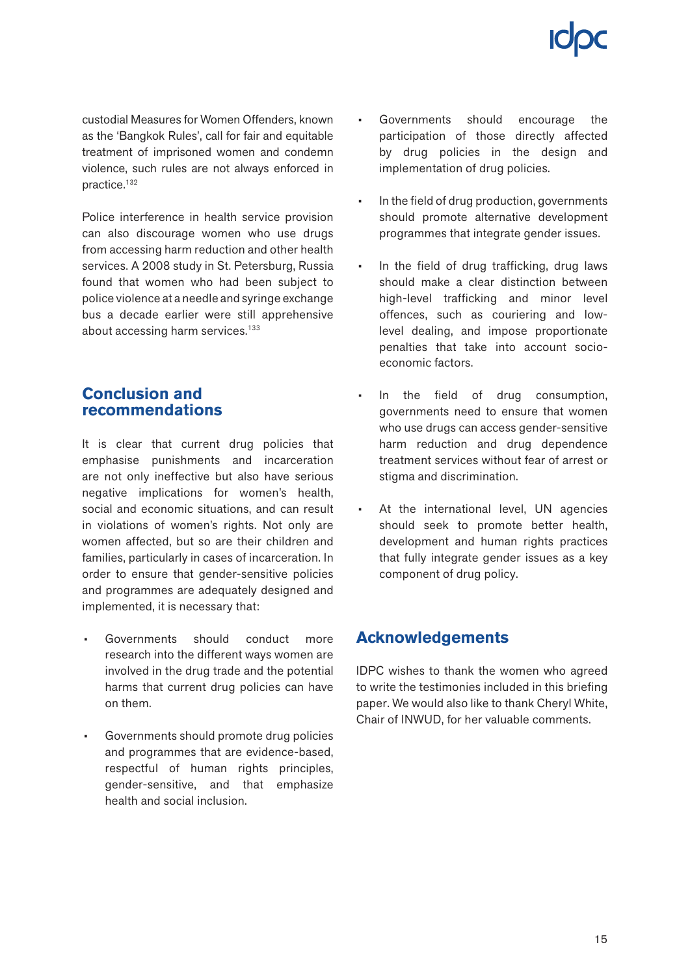custodial Measures for Women Offenders, known as the 'Bangkok Rules', call for fair and equitable treatment of imprisoned women and condemn violence, such rules are not always enforced in practice.132

Police interference in health service provision can also discourage women who use drugs from accessing harm reduction and other health services. A 2008 study in St. Petersburg, Russia found that women who had been subject to police violence at a needle and syringe exchange bus a decade earlier were still apprehensive about accessing harm services.<sup>133</sup>

### **Conclusion and recommendations**

It is clear that current drug policies that emphasise punishments and incarceration are not only ineffective but also have serious negative implications for women's health, social and economic situations, and can result in violations of women's rights. Not only are women affected, but so are their children and families, particularly in cases of incarceration. In order to ensure that gender-sensitive policies and programmes are adequately designed and implemented, it is necessary that:

- Governments should conduct more research into the different ways women are involved in the drug trade and the potential harms that current drug policies can have on them.
- Governments should promote drug policies and programmes that are evidence-based, respectful of human rights principles, gender-sensitive, and that emphasize health and social inclusion.
- Governments should encourage the participation of those directly affected by drug policies in the design and implementation of drug policies.
- In the field of drug production, governments should promote alternative development programmes that integrate gender issues.
- In the field of drug trafficking, drug laws should make a clear distinction between high-level trafficking and minor level offences, such as couriering and lowlevel dealing, and impose proportionate penalties that take into account socioeconomic factors.
- In the field of drug consumption, governments need to ensure that women who use drugs can access gender-sensitive harm reduction and drug dependence treatment services without fear of arrest or stigma and discrimination.
- At the international level, UN agencies should seek to promote better health, development and human rights practices that fully integrate gender issues as a key component of drug policy.

### **Acknowledgements**

IDPC wishes to thank the women who agreed to write the testimonies included in this briefing paper. We would also like to thank Cheryl White, Chair of INWUD, for her valuable comments.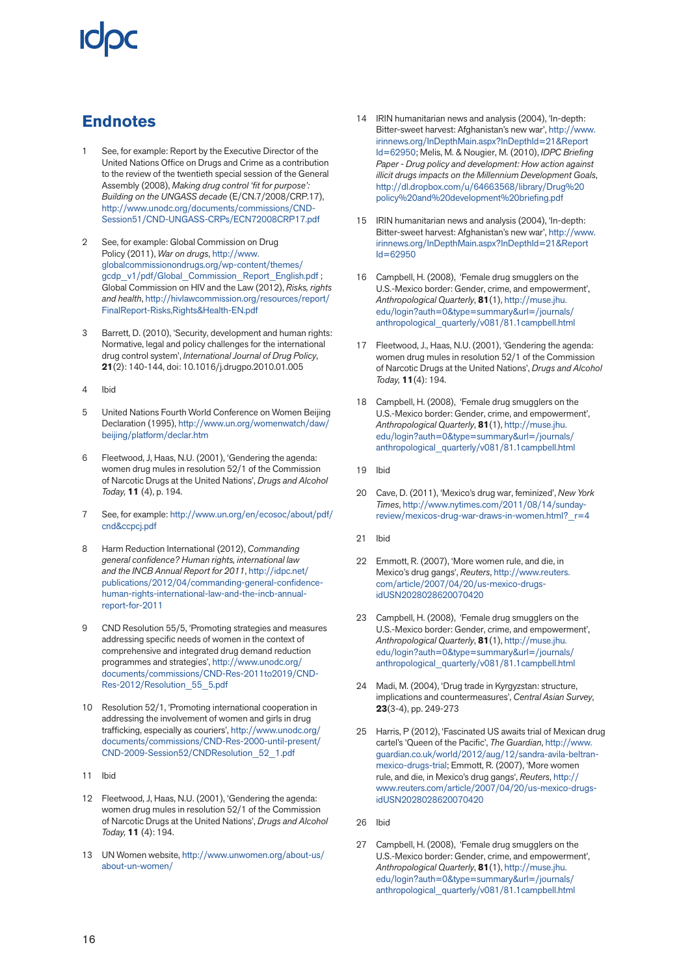### **Endnotes**

- 1 See, for example: Report by the Executive Director of the United Nations Office on Drugs and Crime as a contribution to the review of the twentieth special session of the General Assembly (2008), *Making drug control 'fit for purpose': Building on the UNGASS decade* (E/CN.7/2008/CRP.17), [http://www.unodc.org/documents/commissions/CND-](http://www.unodc.org/documents/commissions/CND-Session51/CND-UNGASS-CRPs/ECN72008CRP17.pdf)[Session51/CND-UNGASS-CRPs/ECN72008CRP17.pdf](http://www.unodc.org/documents/commissions/CND-Session51/CND-UNGASS-CRPs/ECN72008CRP17.pdf)
- 2 See, for example: Global Commission on Drug Policy (2011), *War on drugs*, [http://www.](http://www.globalcommissionondrugs.org/wp-content/themes/gcdp_v1/pdf/Global_Commission_Report_English.pdf) [globalcommissionondrugs.org/wp-content/themes/](http://www.globalcommissionondrugs.org/wp-content/themes/gcdp_v1/pdf/Global_Commission_Report_English.pdf) qcdp\_v1/pdf/Global\_Commission\_Report\_English.pdf ; Global Commission on HIV and the Law (2012), *Risks, rights and health*, [http://hivlawcommission.org/resources/report/](http://hivlawcommission.org/resources/report/FinalReport-Risks,Rights&Health-EN.pdf) [FinalReport-Risks,Rights&Health-EN.pdf](http://hivlawcommission.org/resources/report/FinalReport-Risks,Rights&Health-EN.pdf)
- 3 Barrett, D. (2010), 'Security, development and human rights: Normative, legal and policy challenges for the international drug control system', *International Journal of Drug Policy*, **21**(2): 140-144, doi: 10.1016/j.drugpo.2010.01.005
- 4 Ibid
- 5 United Nations Fourth World Conference on Women Beijing Declaration (1995), [http://www.un.org/womenwatch/daw/](http://www.un.org/womenwatch/daw/beijing/platform/declar.htm) [beijing/platform/declar.htm](http://www.un.org/womenwatch/daw/beijing/platform/declar.htm)
- 6 Fleetwood, J, Haas, N.U. (2001), 'Gendering the agenda: women drug mules in resolution 52/1 of the Commission of Narcotic Drugs at the United Nations', *Drugs and Alcohol Today,* **11** (4), p. 194.
- 7 See, for example: [http://www.un.org/en/ecosoc/about/pdf/](http://www.un.org/en/ecosoc/about/pdf/cnd&ccpcj.pdf) [cnd&ccpcj.pdf](http://www.un.org/en/ecosoc/about/pdf/cnd&ccpcj.pdf)
- 8 Harm Reduction International (2012), *Commanding general confidence? Human rights, international law and the INCB Annual Report for 2011*, [http://idpc.net/](http://idpc.net/publications/2012/04/commanding-general-confidence-human-rights-international-law-and-the-incb-annual-report-for-2011) [publications/2012/04/commanding-general-confidence](http://idpc.net/publications/2012/04/commanding-general-confidence-human-rights-international-law-and-the-incb-annual-report-for-2011)[human-rights-international-law-and-the-incb-annual](http://idpc.net/publications/2012/04/commanding-general-confidence-human-rights-international-law-and-the-incb-annual-report-for-2011)[report-for-2011](http://idpc.net/publications/2012/04/commanding-general-confidence-human-rights-international-law-and-the-incb-annual-report-for-2011)
- 9 CND Resolution 55/5, 'Promoting strategies and measures addressing specific needs of women in the context of comprehensive and integrated drug demand reduction programmes and strategies', [http://www.unodc.org/](http://www.unodc.org/documents/commissions/CND-Res-2011to2019/CND-Res-2012/Resolution_55_5.pdf) [documents/commissions/CND-Res-2011to2019/CND-](http://www.unodc.org/documents/commissions/CND-Res-2011to2019/CND-Res-2012/Resolution_55_5.pdf)[Res-2012/Resolution\\_55\\_5.pdf](http://www.unodc.org/documents/commissions/CND-Res-2011to2019/CND-Res-2012/Resolution_55_5.pdf)
- 10 Resolution 52/1, 'Promoting international cooperation in addressing the involvement of women and girls in drug trafficking, especially as couriers', [http://www.unodc.org/](http://www.unodc.org/documents/commissions/CND-Res-2000-until-present/CND-2009-Session52/CNDResolution_52_1.pdf) [documents/commissions/CND-Res-2000-until-present/](http://www.unodc.org/documents/commissions/CND-Res-2000-until-present/CND-2009-Session52/CNDResolution_52_1.pdf) [CND-2009-Session52/CNDResolution\\_52\\_1.pdf](http://www.unodc.org/documents/commissions/CND-Res-2000-until-present/CND-2009-Session52/CNDResolution_52_1.pdf)
- 11 Ibid
- 12 Fleetwood, J, Haas, N.U. (2001), 'Gendering the agenda: women drug mules in resolution 52/1 of the Commission of Narcotic Drugs at the United Nations', *Drugs and Alcohol Today,* **11** (4): 194.
- 13 UN Women website, [http://www.unwomen.org/about-us/](http://www.unwomen.org/about-us/about-un-women/) [about-un-women/](http://www.unwomen.org/about-us/about-un-women/)
- 14 IRIN humanitarian news and analysis (2004), 'In-depth: Bitter-sweet harvest: Afghanistan's new war', [http://www.](http://www.irinnews.org/InDepthMain.aspx?InDepthId=21&ReportId=62950) [irinnews.org/InDepthMain.aspx?InDepthId=21&Report](http://www.irinnews.org/InDepthMain.aspx?InDepthId=21&ReportId=62950) [Id=62950;](http://www.irinnews.org/InDepthMain.aspx?InDepthId=21&ReportId=62950) Melis, M. & Nougier, M. (2010), *IDPC Briefing Paper - Drug policy and development: How action against illicit drugs impacts on the Millennium Development Goals*, [http://dl.dropbox.com/u/64663568/library/Drug%20](http://dl.dropbox.com/u/64663568/library/Drug policy and development briefing.pdf) [policy%20and%20development%20briefing.pdf](http://dl.dropbox.com/u/64663568/library/Drug policy and development briefing.pdf)
- 15 IRIN humanitarian news and analysis (2004), 'In-depth: Bitter-sweet harvest: Afghanistan's new war', [http://www.](http://www.irinnews.org/InDepthMain.aspx?InDepthId=21&ReportId=62950) [irinnews.org/InDepthMain.aspx?InDepthId=21&Report](http://www.irinnews.org/InDepthMain.aspx?InDepthId=21&ReportId=62950) [Id=62950](http://www.irinnews.org/InDepthMain.aspx?InDepthId=21&ReportId=62950)
- 16 Campbell, H. (2008), 'Female drug smugglers on the U.S.-Mexico border: Gender, crime, and empowerment', *Anthropological Quarterly*, **81**(1), [http://muse.jhu.](http://muse.jhu.edu/login?auth=0&type=summary&url=/journals/anthropological_quarterly/v081/81.1campbell.html) [edu/login?auth=0&type=summary&url=/journals/](http://muse.jhu.edu/login?auth=0&type=summary&url=/journals/anthropological_quarterly/v081/81.1campbell.html) [anthropological\\_quarterly/v081/81.1campbell.html](http://muse.jhu.edu/login?auth=0&type=summary&url=/journals/anthropological_quarterly/v081/81.1campbell.html)
- 17 Fleetwood, J., Haas, N.U. (2001), 'Gendering the agenda: women drug mules in resolution 52/1 of the Commission of Narcotic Drugs at the United Nations', *Drugs and Alcohol Today,* **11**(4): 194.
- 18 Campbell, H. (2008), 'Female drug smugglers on the U.S.-Mexico border: Gender, crime, and empowerment', *Anthropological Quarterly*, **81**(1), [http://muse.jhu.](http://muse.jhu.edu/login?auth=0&type=summary&url=/journals/anthropological_quarterly/v081/81.1campbell.html) [edu/login?auth=0&type=summary&url=/journals/](http://muse.jhu.edu/login?auth=0&type=summary&url=/journals/anthropological_quarterly/v081/81.1campbell.html) [anthropological\\_quarterly/v081/81.1campbell.html](http://muse.jhu.edu/login?auth=0&type=summary&url=/journals/anthropological_quarterly/v081/81.1campbell.html)
- 19 Ibid
- 20 Cave, D. (2011), 'Mexico's drug war, feminized', *New York Times*, [http://www.nytimes.com/2011/08/14/sunday](http://www.nytimes.com/2011/08/14/sunday-review/mexicos-drug-war-draws-in-women.html?_r=4)[review/mexicos-drug-war-draws-in-women.html?\\_r=4](http://www.nytimes.com/2011/08/14/sunday-review/mexicos-drug-war-draws-in-women.html?_r=4)
- 21 Ibid
- 22 Emmott, R. (2007), 'More women rule, and die, in Mexico's drug gangs', *Reuters*, [http://www.reuters.](http://www.reuters.com/article/2007/04/20/us-mexico-drugs-idUSN2028028620070420) [com/article/2007/04/20/us-mexico-drugs](http://www.reuters.com/article/2007/04/20/us-mexico-drugs-idUSN2028028620070420)[idUSN2028028620070420](http://www.reuters.com/article/2007/04/20/us-mexico-drugs-idUSN2028028620070420)
- 23 Campbell, H. (2008), 'Female drug smugglers on the U.S.-Mexico border: Gender, crime, and empowerment', *Anthropological Quarterly*, **81**(1), [http://muse.jhu.](http://muse.jhu.edu/login?auth=0&type=summary&url=/journals/anthropological_quarterly/v081/81.1campbell.html) [edu/login?auth=0&type=summary&url=/journals/](http://muse.jhu.edu/login?auth=0&type=summary&url=/journals/anthropological_quarterly/v081/81.1campbell.html) [anthropological\\_quarterly/v081/81.1campbell.html](http://muse.jhu.edu/login?auth=0&type=summary&url=/journals/anthropological_quarterly/v081/81.1campbell.html)
- 24 Madi, M. (2004), 'Drug trade in Kyrgyzstan: structure, implications and countermeasures', *Central Asian Survey*, **23**(3-4), pp. 249-273
- 25 Harris, P (2012), 'Fascinated US awaits trial of Mexican drug cartel's 'Queen of the Pacific', *The Guardian*, [http://www.](http://www.guardian.co.uk/world/2012/aug/12/sandra-avila-beltran-mexico-drugs-trial) [guardian.co.uk/world/2012/aug/12/sandra-avila-beltran](http://www.guardian.co.uk/world/2012/aug/12/sandra-avila-beltran-mexico-drugs-trial)[mexico-drugs-trial;](http://www.guardian.co.uk/world/2012/aug/12/sandra-avila-beltran-mexico-drugs-trial) Emmott, R. (2007), 'More women rule, and die, in Mexico's drug gangs', *Reuters*, [http://](http://www.reuters.com/article/2007/04/20/us-mexico-drugs-idUSN2028028620070420) [www.reuters.com/article/2007/04/20/us-mexico-drugs](http://www.reuters.com/article/2007/04/20/us-mexico-drugs-idUSN2028028620070420)[idUSN2028028620070420](http://www.reuters.com/article/2007/04/20/us-mexico-drugs-idUSN2028028620070420)
- 26 Ibid
- 27 Campbell, H. (2008), 'Female drug smugglers on the U.S.-Mexico border: Gender, crime, and empowerment', *Anthropological Quarterly*, **81**(1), [http://muse.jhu.](http://muse.jhu.edu/login?auth=0&type=summary&url=/journals/anthropological_quarterly/v081/81.1campbell.html) [edu/login?auth=0&type=summary&url=/journals/](http://muse.jhu.edu/login?auth=0&type=summary&url=/journals/anthropological_quarterly/v081/81.1campbell.html) [anthropological\\_quarterly/v081/81.1campbell.html](http://muse.jhu.edu/login?auth=0&type=summary&url=/journals/anthropological_quarterly/v081/81.1campbell.html)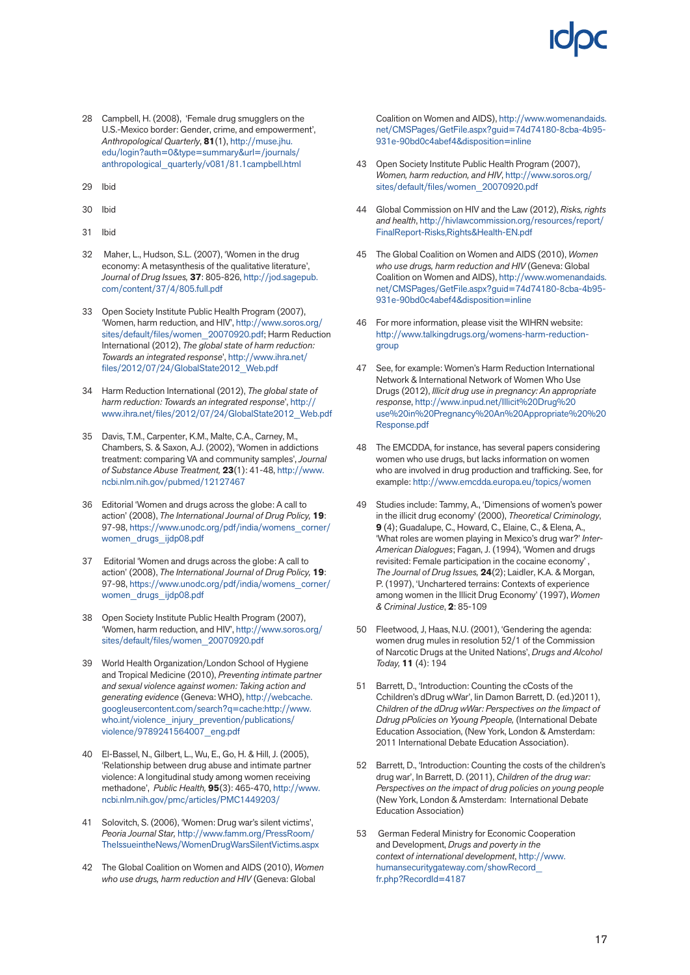- 28 Campbell, H. (2008), 'Female drug smugglers on the U.S.-Mexico border: Gender, crime, and empowerment', *Anthropological Quarterly*, **81**(1), [http://muse.jhu.](http://muse.jhu.edu/login?auth=0&type=summary&url=/journals/anthropological_quarterly/v081/81.1campbell.html) [edu/login?auth=0&type=summary&url=/journals/](http://muse.jhu.edu/login?auth=0&type=summary&url=/journals/anthropological_quarterly/v081/81.1campbell.html) [anthropological\\_quarterly/v081/81.1campbell.html](http://muse.jhu.edu/login?auth=0&type=summary&url=/journals/anthropological_quarterly/v081/81.1campbell.html)
- 29 Ibid
- 30 Ibid
- 31 Ibid
- 32 Maher, L., Hudson, S.L. (2007), 'Women in the drug economy: A metasynthesis of the qualitative literature', *Journal of Drug Issues,* **37**: 805-826, [http://jod.sagepub.](http://jod.sagepub.com/content/37/4/805.full.pdf) [com/content/37/4/805.full.pdf](http://jod.sagepub.com/content/37/4/805.full.pdf)
- 33 Open Society Institute Public Health Program (2007), 'Women, harm reduction, and HIV', [http://www.soros.org/](http://www.soros.org/sites/default/files/women_20070920.pdf) [sites/default/files/women\\_20070920.pdf;](http://www.soros.org/sites/default/files/women_20070920.pdf) Harm Reduction International (2012), *The global state of harm reduction: Towards an integrated response*', [http://www.ihra.net/](http://www.ihra.net/files/2012/07/24/GlobalState2012_Web.pdf) [files/2012/07/24/GlobalState2012\\_Web.pdf](http://www.ihra.net/files/2012/07/24/GlobalState2012_Web.pdf)
- 34 Harm Reduction International (2012), *The global state of harm reduction: Towards an integrated response*', [http://](http://www.ihra.net/files/2012/07/24/GlobalState2012_Web.pdf) [www.ihra.net/files/2012/07/24/GlobalState2012\\_Web.pdf](http://www.ihra.net/files/2012/07/24/GlobalState2012_Web.pdf)
- 35 Davis, T.M., Carpenter, K.M., Malte, C.A., Carney, M., Chambers, S. & Saxon, A.J. (2002), 'Women in addictions treatment: comparing VA and community samples', *Journal of Substance Abuse Treatment,* **23**(1): 41-48, [http://www.](http://www.ncbi.nlm.nih.gov/pubmed/12127467) [ncbi.nlm.nih.gov/pubmed/12127467](http://www.ncbi.nlm.nih.gov/pubmed/12127467)
- 36 Editorial 'Women and drugs across the globe: A call to action' (2008), *The International Journal of Drug Policy,* **19**: 97-98, [https://www.unodc.org/pdf/india/womens\\_corner/](https://www.unodc.org/pdf/india/womens_corner/women_drugs_ijdp08.pdf) [women\\_drugs\\_ijdp08.pdf](https://www.unodc.org/pdf/india/womens_corner/women_drugs_ijdp08.pdf)
- 37 Editorial 'Women and drugs across the globe: A call to action' (2008), *The International Journal of Drug Policy,* **19**: 97-98, [https://www.unodc.org/pdf/india/womens\\_corner/](https://www.unodc.org/pdf/india/womens_corner/women_drugs_ijdp08.pdf) [women\\_drugs\\_ijdp08.pdf](https://www.unodc.org/pdf/india/womens_corner/women_drugs_ijdp08.pdf)
- 38 Open Society Institute Public Health Program (2007), 'Women, harm reduction, and HIV', [http://www.soros.org/](http://www.soros.org/sites/default/files/women_20070920.pdf) [sites/default/files/women\\_20070920.pdf](http://www.soros.org/sites/default/files/women_20070920.pdf)
- 39 World Health Organization/London School of Hygiene and Tropical Medicine (2010), *Preventing intimate partner and sexual violence against women: Taking action and generating evidence* (Geneva: WHO), [http://webcache.](http://webcache.googleusercontent.com/search?q=cache:http://www.who.int/violence_injury_prevention/publications/violence/9789241564007_eng.pdf) [googleusercontent.com/search?q=cache:http://www.](http://webcache.googleusercontent.com/search?q=cache:http://www.who.int/violence_injury_prevention/publications/violence/9789241564007_eng.pdf) [who.int/violence\\_injury\\_prevention/publications/](http://webcache.googleusercontent.com/search?q=cache:http://www.who.int/violence_injury_prevention/publications/violence/9789241564007_eng.pdf) [violence/9789241564007\\_eng.pdf](http://webcache.googleusercontent.com/search?q=cache:http://www.who.int/violence_injury_prevention/publications/violence/9789241564007_eng.pdf)
- 40 El-Bassel, N., Gilbert, L., Wu, E., Go, H. & Hill, J. (2005), 'Relationship between drug abuse and intimate partner violence: A longitudinal study among women receiving methadone', *Public Health,* **95**(3): 465-470, [http://www.](http://www.ncbi.nlm.nih.gov/pmc/articles/PMC1449203/) [ncbi.nlm.nih.gov/pmc/articles/PMC1449203/](http://www.ncbi.nlm.nih.gov/pmc/articles/PMC1449203/)
- 41 Solovitch, S. (2006), 'Women: Drug war's silent victims', *Peoria Journal Star,* [http://www.famm.org/PressRoom/](http://www.famm.org/PressRoom/TheIssueintheNews/WomenDrugWarsSilentVictims.aspx) [TheIssueintheNews/WomenDrugWarsSilentVictims.aspx](http://www.famm.org/PressRoom/TheIssueintheNews/WomenDrugWarsSilentVictims.aspx)
- 42 The Global Coalition on Women and AIDS (2010), *Women who use drugs, harm reduction and HIV* (Geneva: Global

Coalition on Women and AIDS), [http://www.womenandaids.](http://www.womenandaids.net/CMSPages/GetFile.aspx?guid=74d74180-8cba-4b95-931e-90bd0c4abef4&disposition=inline) [net/CMSPages/GetFile.aspx?guid=74d74180-8cba-4b95-](http://www.womenandaids.net/CMSPages/GetFile.aspx?guid=74d74180-8cba-4b95-931e-90bd0c4abef4&disposition=inline) [931e-90bd0c4abef4&disposition=inline](http://www.womenandaids.net/CMSPages/GetFile.aspx?guid=74d74180-8cba-4b95-931e-90bd0c4abef4&disposition=inline)

- 43 Open Society Institute Public Health Program (2007), *Women, harm reduction, and HIV*, [http://www.soros.org/](http://www.soros.org/sites/default/files/women_20070920.pdf) [sites/default/files/women\\_20070920.pdf](http://www.soros.org/sites/default/files/women_20070920.pdf)
- 44 Global Commission on HIV and the Law (2012), *Risks, rights and health*, [http://hivlawcommission.org/resources/report/](http://hivlawcommission.org/resources/report/FinalReport-Risks,Rights&Health-EN.pdf) [FinalReport-Risks,Rights&Health-EN.pdf](http://hivlawcommission.org/resources/report/FinalReport-Risks,Rights&Health-EN.pdf)
- 45 The Global Coalition on Women and AIDS (2010), *Women who use drugs, harm reduction and HIV* (Geneva: Global Coalition on Women and AIDS), [http://www.womenandaids.](http://www.womenandaids.net/CMSPages/GetFile.aspx?guid=74d74180-8cba-4b95-931e-90bd0c4abef4&disposition=inline) [net/CMSPages/GetFile.aspx?guid=74d74180-8cba-4b95-](http://www.womenandaids.net/CMSPages/GetFile.aspx?guid=74d74180-8cba-4b95-931e-90bd0c4abef4&disposition=inline) [931e-90bd0c4abef4&disposition=inline](http://www.womenandaids.net/CMSPages/GetFile.aspx?guid=74d74180-8cba-4b95-931e-90bd0c4abef4&disposition=inline)
- 46 For more information, please visit the WIHRN website: [http://www.talkingdrugs.org/womens-harm-reduction](http://www.talkingdrugs.org/womens-harm-reduction-group)[group](http://www.talkingdrugs.org/womens-harm-reduction-group)
- 47 See, for example: Women's Harm Reduction International Network & International Network of Women Who Use Drugs (2012), *Illicit drug use in pregnancy: An appropriate response*, [http://www.inpud.net/Illicit%20Drug%20](http://www.inpud.net/Illicit Drug use in Pregnancy An Appropriate  Response.pdf) [use%20in%20Pregnancy%20An%20Appropriate%20%20](http://www.inpud.net/Illicit Drug use in Pregnancy An Appropriate  Response.pdf) [Response.pdf](http://www.inpud.net/Illicit Drug use in Pregnancy An Appropriate  Response.pdf)
- 48 The EMCDDA, for instance, has several papers considering women who use drugs, but lacks information on women who are involved in drug production and trafficking. See, for example:<http://www.emcdda.europa.eu/topics/women>
- 49 Studies include: Tammy, A., 'Dimensions of women's power in the illicit drug economy' (2000), *Theoretical Criminology*, **9** (4); Guadalupe, C., Howard, C., Elaine, C., & Elena, A., 'What roles are women playing in Mexico's drug war?' *Inter-American Dialogues*; Fagan, J. (1994), 'Women and drugs revisited: Female participation in the cocaine economy' , *The Journal of Drug Issues,* **24**(2); Laidler, K.A. & Morgan, P. (1997), 'Unchartered terrains: Contexts of experience among women in the Illicit Drug Economy' (1997), *Women & Criminal Justice*, **2**: 85-109
- 50 Fleetwood, J, Haas, N.U. (2001), 'Gendering the agenda: women drug mules in resolution 52/1 of the Commission of Narcotic Drugs at the United Nations', *Drugs and Alcohol Today,* **11** (4): 194
- 51 Barrett, D., 'Introduction: Counting the cCosts of the Cchildren's dDrug wWar', Iin Damon Barrett, D. (ed.)2011), *Children of the dDrug wWar: Perspectives on the Iimpact of Ddrug pPolicies on Yyoung Ppeople,* (International Debate Education Association, (New York, London & Amsterdam: 2011 International Debate Education Association).
- 52 Barrett, D., 'Introduction: Counting the costs of the children's drug war', In Barrett, D. (2011), *Children of the drug war: Perspectives on the impact of drug policies on young people* (New York, London & Amsterdam: International Debate Education Association)
- 53 German Federal Ministry for Economic Cooperation and Development, *Drugs and poverty in the context of international development*, [http://www.](http://www.humansecuritygateway.com/showRecord_fr.php?RecordId=4187) [humansecuritygateway.com/showRecord\\_](http://www.humansecuritygateway.com/showRecord_fr.php?RecordId=4187) [fr.php?RecordId=4187](http://www.humansecuritygateway.com/showRecord_fr.php?RecordId=4187)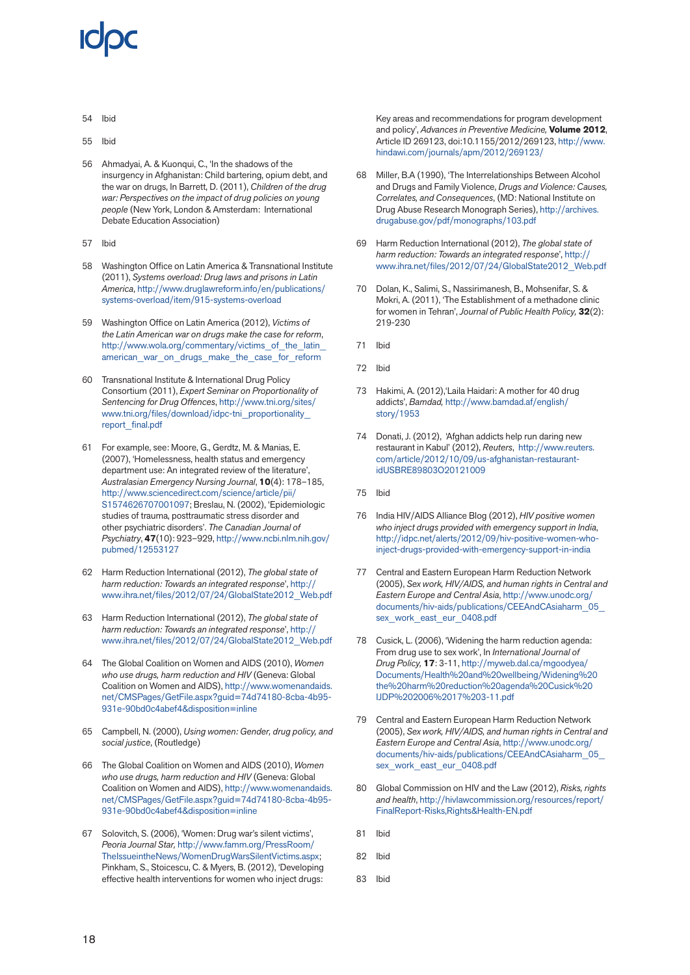- 54 Ibid
- 55 Ibid
- 56 Ahmadyai, A. & Kuonqui, C., 'In the shadows of the insurgency in Afghanistan: Child bartering, opium debt, and the war on drugs, In Barrett, D. (2011), *Children of the drug war: Perspectives on the impact of drug policies on young people* (New York, London & Amsterdam: International Debate Education Association)
- 57 Ibid
- 58 Washington Office on Latin America & Transnational Institute (2011), *Systems overload: Drug laws and prisons in Latin America*, [http://www.druglawreform.info/en/publications/](http://www.druglawreform.info/en/publications/systems-overload/item/915-systems-overload) [systems-overload/item/915-systems-overload](http://www.druglawreform.info/en/publications/systems-overload/item/915-systems-overload)
- 59 Washington Office on Latin America (2012), *Victims of the Latin American war on drugs make the case for reform*, [http://www.wola.org/commentary/victims\\_of\\_the\\_latin\\_](http://www.wola.org/commentary/victims_of_the_latin_american_war_on_drugs_make_the_case_for_reform) [american\\_war\\_on\\_drugs\\_make\\_the\\_case\\_for\\_reform](http://www.wola.org/commentary/victims_of_the_latin_american_war_on_drugs_make_the_case_for_reform)
- 60 Transnational Institute & International Drug Policy Consortium (2011), *Expert Seminar on Proportionality of Sentencing for Drug Offences*, [http://www.tni.org/sites/](http://www.tni.org/sites/www.tni.org/files/download/idpc-tni_proportionality_report_final.pdf) [www.tni.org/files/download/idpc-tni\\_proportionality\\_](http://www.tni.org/sites/www.tni.org/files/download/idpc-tni_proportionality_report_final.pdf) [report\\_final.pdf](http://www.tni.org/sites/www.tni.org/files/download/idpc-tni_proportionality_report_final.pdf)
- 61 For example, see: Moore, G., Gerdtz, M. & Manias, E. (2007), 'Homelessness, health status and emergency department use: An integrated review of the literature', *Australasian Emergency Nursing Journal*, **10**(4): 178–185, [http://www.sciencedirect.com/science/article/pii/](http://www.scien-cedirect.com/science/article/pii/S1574626707001097) [S1574626707001097;](http://www.scien-cedirect.com/science/article/pii/S1574626707001097) Breslau, N. (2002), 'Epidemiologic studies of trauma, posttraumatic stress disorder and other psychiatric disorders'. *The Canadian Journal of Psychiatry*, **47**(10): 923–929, [http://www.ncbi.nlm.nih.gov/](http://www.ncbi.nlm.nih.gov/pubmed/12553127) [pubmed/12553127](http://www.ncbi.nlm.nih.gov/pubmed/12553127)
- 62 Harm Reduction International (2012), *The global state of harm reduction: Towards an integrated response*', [http://](http://www.ihra.net/files/2012/07/24/GlobalState2012_Web.pdf) [www.ihra.net/files/2012/07/24/GlobalState2012\\_Web.pdf](http://www.ihra.net/files/2012/07/24/GlobalState2012_Web.pdf)
- 63 Harm Reduction International (2012), *The global state of harm reduction: Towards an integrated response*', [http://](http://www.ihra.net/files/2012/07/24/GlobalState2012_Web.pdf) [www.ihra.net/files/2012/07/24/GlobalState2012\\_Web.pdf](http://www.ihra.net/files/2012/07/24/GlobalState2012_Web.pdf)
- 64 The Global Coalition on Women and AIDS (2010), *Women who use drugs, harm reduction and HIV* (Geneva: Global Coalition on Women and AIDS), [http://www.womenandaids.](http://www.womenandaids.net/CMSPages/GetFile.aspx?guid=74d74180-8cba-4b95-931e-90bd0c4abef4&disposition=inline) [net/CMSPages/GetFile.aspx?guid=74d74180-8cba-4b95-](http://www.womenandaids.net/CMSPages/GetFile.aspx?guid=74d74180-8cba-4b95-931e-90bd0c4abef4&disposition=inline) [931e-90bd0c4abef4&disposition=inline](http://www.womenandaids.net/CMSPages/GetFile.aspx?guid=74d74180-8cba-4b95-931e-90bd0c4abef4&disposition=inline)
- 65 Campbell, N. (2000), *Using women: Gender, drug policy, and social justice*, (Routledge)
- 66 The Global Coalition on Women and AIDS (2010), *Women who use drugs, harm reduction and HIV* (Geneva: Global Coalition on Women and AIDS), [http://www.womenandaids.](http://www.womenandaids.net/CMSPages/GetFile.aspx?guid=74d74180-8cba-4b95-931e-90bd0c4abef4&disposition=inline) [net/CMSPages/GetFile.aspx?guid=74d74180-8cba-4b95-](http://www.womenandaids.net/CMSPages/GetFile.aspx?guid=74d74180-8cba-4b95-931e-90bd0c4abef4&disposition=inline) [931e-90bd0c4abef4&disposition=inline](http://www.womenandaids.net/CMSPages/GetFile.aspx?guid=74d74180-8cba-4b95-931e-90bd0c4abef4&disposition=inline)
- 67 Solovitch, S. (2006), 'Women: Drug war's silent victims', *Peoria Journal Star,* [http://www.famm.org/PressRoom/](http://www.famm.org/PressRoom/TheIssueintheNews/WomenDrugWarsSilentVictims.aspx) [TheIssueintheNews/WomenDrugWarsSilentVictims.aspx](http://www.famm.org/PressRoom/TheIssueintheNews/WomenDrugWarsSilentVictims.aspx); Pinkham, S., Stoicescu, C. & Myers, B. (2012), 'Developing effective health interventions for women who inject drugs:

Key areas and recommendations for program development and policy', *Advances in Preventive Medicine,* **Volume 2012**, Article ID 269123, doi:10.1155/2012/269123, [http://www.](http://www.hindawi.com/journals/apm/2012/269123/) [hindawi.com/journals/apm/2012/269123/](http://www.hindawi.com/journals/apm/2012/269123/)

- Miller, B.A (1990), 'The Interrelationships Between Alcohol and Drugs and Family Violence, *Drugs and Violence: Causes, Correlates, and Consequences*, (MD: National Institute on Drug Abuse Research Monograph Series), [http://archives.](http://archives.drugabuse.gov/pdf/monographs/103.pdf) [drugabuse.gov/pdf/monographs/103.pdf](http://archives.drugabuse.gov/pdf/monographs/103.pdf)
- 69 Harm Reduction International (2012), *The global state of harm reduction: Towards an integrated response*', [http://](http://www.ihra.net/files/2012/07/24/GlobalState2012_Web.pdf) [www.ihra.net/files/2012/07/24/GlobalState2012\\_Web.pdf](http://www.ihra.net/files/2012/07/24/GlobalState2012_Web.pdf)
- 70 Dolan, K., Salimi, S., Nassirimanesh, B., Mohsenifar, S. & Mokri, A. (2011), 'The Establishment of a methadone clinic for women in Tehran', *Journal of Public Health Policy,* **32**(2): 219-230
- 71 Ibid
- 72 Ibid
- 73 Hakimi, A. (2012), 'Laila Haidari: A mother for 40 drug addicts', *Bamdad,* [http://www.bamdad.af/english/](http://www.bamdad.af/english/story/1953) [story/1953](http://www.bamdad.af/english/story/1953)
- 74 Donati, J. (2012), 'Afghan addicts help run daring new restaurant in Kabul' (2012), *Reuters*, [http://www.reuters.](http://www.reuters.com/article/2012/10/09/us-afghanistan-restaurant-idUSBRE89803O20121009) [com/article/2012/10/09/us-afghanistan-restaurant](http://www.reuters.com/article/2012/10/09/us-afghanistan-restaurant-idUSBRE89803O20121009)[idUSBRE89803O20121009](http://www.reuters.com/article/2012/10/09/us-afghanistan-restaurant-idUSBRE89803O20121009)
- 75 Ibid
- 76 India HIV/AIDS Alliance Blog (2012), *HIV positive women who inject drugs provided with emergency support in India*, [http://idpc.net/alerts/2012/09/hiv-positive-women-who](http://idpc.net/alerts/2012/09/hiv-positive-women-who-inject-drugs-provided-with-emergency-support-in-india)[inject-drugs-provided-with-emergency-support-in-india](http://idpc.net/alerts/2012/09/hiv-positive-women-who-inject-drugs-provided-with-emergency-support-in-india)
- 77 Central and Eastern European Harm Reduction Network (2005), *Sex work, HIV/AIDS, and human rights in Central and Eastern Europe and Central Asia*, [http://www.unodc.org/](http://www.unodc.org/documents/hiv-aids/publications/CEEAndCAsiaharm_05_sex_work_east_eur_0408.pdf) [documents/hiv-aids/publications/CEEAndCAsiaharm\\_05\\_](http://www.unodc.org/documents/hiv-aids/publications/CEEAndCAsiaharm_05_sex_work_east_eur_0408.pdf) [sex\\_work\\_east\\_eur\\_0408.pdf](http://www.unodc.org/documents/hiv-aids/publications/CEEAndCAsiaharm_05_sex_work_east_eur_0408.pdf)
- 78 Cusick, L. (2006), 'Widening the harm reduction agenda: From drug use to sex work', In *International Journal of Drug Policy,* **17**: 3-11, [http://myweb.dal.ca/mgoodyea/](http://myweb.dal.ca/mgoodyea/Documents/Health and wellbeing/Widening the harm reduction agenda Cusick IJDP 2006 17 3-11.pdf) [Documents/Health%20and%20wellbeing/Widening%20](http://myweb.dal.ca/mgoodyea/Documents/Health and wellbeing/Widening the harm reduction agenda Cusick IJDP 2006 17 3-11.pdf) [the%20harm%20reduction%20agenda%20Cusick%20](http://myweb.dal.ca/mgoodyea/Documents/Health and wellbeing/Widening the harm reduction agenda Cusick IJDP 2006 17 3-11.pdf) [IJDP%202006%2017%203-11.pdf](http://myweb.dal.ca/mgoodyea/Documents/Health and wellbeing/Widening the harm reduction agenda Cusick IJDP 2006 17 3-11.pdf)
- 79 Central and Eastern European Harm Reduction Network (2005), *Sex work, HIV/AIDS, and human rights in Central and Eastern Europe and Central Asia*, [http://www.unodc.org/](http://www.unodc.org/documents/hiv-aids/publications/CEEAndCAsiaharm_05_sex_work_east_eur_0408.pdf) [documents/hiv-aids/publications/CEEAndCAsiaharm\\_05\\_](http://www.unodc.org/documents/hiv-aids/publications/CEEAndCAsiaharm_05_sex_work_east_eur_0408.pdf) [sex\\_work\\_east\\_eur\\_0408.pdf](http://www.unodc.org/documents/hiv-aids/publications/CEEAndCAsiaharm_05_sex_work_east_eur_0408.pdf)
- 80 Global Commission on HIV and the Law (2012), *Risks, rights and health*, [http://hivlawcommission.org/resources/report/](http://hivlawcommission.org/resources/report/FinalReport-Risks,Rights&Health-EN.pdf) [FinalReport-Risks,Rights&Health-EN.pdf](http://hivlawcommission.org/resources/report/FinalReport-Risks,Rights&Health-EN.pdf)
- 81 Ibid
- 82 Ibid
- 83 Ibid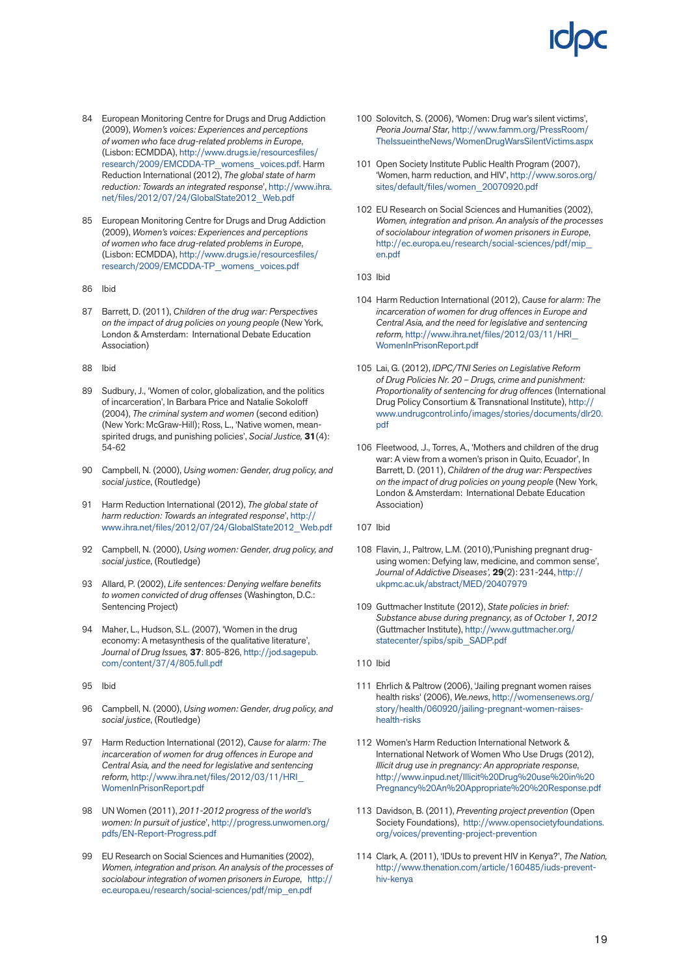- 84 European Monitoring Centre for Drugs and Drug Addiction (2009), *Women's voices: Experiences and perceptions of women who face drug-related problems in Europe*, (Lisbon: ECMDDA), [http://www.drugs.ie/resourcesfiles/](http://www.drugs.ie/resourcesfiles/research/2009/EMCDDA-TP_womens_voices.pdf) [research/2009/EMCDDA-TP\\_womens\\_voices.pdf](http://www.drugs.ie/resourcesfiles/research/2009/EMCDDA-TP_womens_voices.pdf). Harm Reduction International (2012), *The global state of harm reduction: Towards an integrated response*', [http://www.ihra.](http://www.ihra.net/files/2012/07/24/GlobalState2012_Web.pdf) [net/files/2012/07/24/GlobalState2012\\_Web.pdf](http://www.ihra.net/files/2012/07/24/GlobalState2012_Web.pdf)
- 85 European Monitoring Centre for Drugs and Drug Addiction (2009), *Women's voices: Experiences and perceptions of women who face drug-related problems in Europe*, (Lisbon: ECMDDA), [http://www.drugs.ie/resourcesfiles/](http://www.drugs.ie/resourcesfiles/research/2009/EMCDDA-TP_womens_voices.pdf) [research/2009/EMCDDA-TP\\_womens\\_voices.pdf](http://www.drugs.ie/resourcesfiles/research/2009/EMCDDA-TP_womens_voices.pdf)
- 86 Ibid
- 87 Barrett, D. (2011), *Children of the drug war: Perspectives on the impact of drug policies on young people* (New York, London & Amsterdam: International Debate Education Association)
- 88 Ibid
- 89 Sudbury, J., 'Women of color, globalization, and the politics of incarceration', In Barbara Price and Natalie Sokoloff (2004), *The criminal system and women* (second edition) (New York: McGraw-Hill); Ross, L., 'Native women, meanspirited drugs, and punishing policies', *Social Justice,* **31**(4): 54-62
- 90 Campbell, N. (2000), *Using women: Gender, drug policy, and social justice*, (Routledge)
- 91 Harm Reduction International (2012), *The global state of harm reduction: Towards an integrated response*', [http://](http://www.ihra.net/files/2012/07/24/GlobalState2012_Web.pdf) [www.ihra.net/files/2012/07/24/GlobalState2012\\_Web.pdf](http://www.ihra.net/files/2012/07/24/GlobalState2012_Web.pdf)
- 92 Campbell, N. (2000), *Using women: Gender, drug policy, and social justice*, (Routledge)
- 93 Allard, P. (2002), *Life sentences: Denying welfare benefits to women convicted of drug offenses* (Washington, D.C.: Sentencing Project)
- 94 Maher, L., Hudson, S.L. (2007), 'Women in the drug economy: A metasynthesis of the qualitative literature', *Journal of Drug Issues,* **37**: 805-826, [http://jod.sagepub.](http://jod.sagepub.com/content/37/4/805.full.pdf) [com/content/37/4/805.full.pdf](http://jod.sagepub.com/content/37/4/805.full.pdf)
- 95 Ibid
- 96 Campbell, N. (2000), *Using women: Gender, drug policy, and social justice*, (Routledge)
- 97 Harm Reduction International (2012), *Cause for alarm: The incarceration of women for drug offences in Europe and Central Asia, and the need for legislative and sentencing reform,* [http://www.ihra.net/files/2012/03/11/HRI\\_](http://www.ihra.net/files/2012/03/11/HRI_WomenInPrisonReport.pdf) [WomenInPrisonReport.pdf](http://www.ihra.net/files/2012/03/11/HRI_WomenInPrisonReport.pdf)
- 98 UN Women (2011), *2011-2012 progress of the world's women: In pursuit of justice*', [http://progress.unwomen.org/](http://progress.unwomen.org/pdfs/EN-Report-Progress.pdf) [pdfs/EN-Report-Progress.pdf](http://progress.unwomen.org/pdfs/EN-Report-Progress.pdf)
- 99 EU Research on Social Sciences and Humanities (2002), *Women, integration and prison. An analysis of the processes of sociolabour integration of women prisoners in Europe*, [http://](http://ec.europa.eu/research/social-sciences/pdf/mip_en.pdf) [ec.europa.eu/research/social-sciences/pdf/mip\\_en.pdf](http://ec.europa.eu/research/social-sciences/pdf/mip_en.pdf)
- 100 Solovitch, S. (2006), 'Women: Drug war's silent victims', *Peoria Journal Star,* [http://www.famm.org/PressRoom/](http://www.famm.org/PressRoom/TheIssueintheNews/WomenDrugWarsSilentVictims.aspx) [TheIssueintheNews/WomenDrugWarsSilentVictims.aspx](http://www.famm.org/PressRoom/TheIssueintheNews/WomenDrugWarsSilentVictims.aspx)
- 101 Open Society Institute Public Health Program (2007), 'Women, harm reduction, and HIV', [http://www.soros.org/](http://www.soros.org/sites/default/files/women_20070920.pdf) [sites/default/files/women\\_20070920.pdf](http://www.soros.org/sites/default/files/women_20070920.pdf)
- 102 EU Research on Social Sciences and Humanities (2002), *Women, integration and prison. An analysis of the processes of sociolabour integration of women prisoners in Europe*, [http://ec.europa.eu/research/social-sciences/pdf/mip\\_](http://ec.europa.eu/research/social-sciences/pdf/mip_en.pdf) [en.pdf](http://ec.europa.eu/research/social-sciences/pdf/mip_en.pdf)
- 103 Ibid
- 104 Harm Reduction International (2012), *Cause for alarm: The incarceration of women for drug offences in Europe and Central Asia, and the need for legislative and sentencing reform,* [http://www.ihra.net/files/2012/03/11/HRI\\_](http://www.ihra.net/files/2012/03/11/HRI_WomenInPrisonReport.pdf) [WomenInPrisonReport.pdf](http://www.ihra.net/files/2012/03/11/HRI_WomenInPrisonReport.pdf)
- 105 Lai, G. (2012), *IDPC/TNI Series on Legislative Reform of Drug Policies Nr. 20 – Drugs, crime and punishment: Proportionality of sentencing for drug offences* (International Drug Policy Consortium & Transnational Institute), [http://](http://www.undrugcontrol.info/images/stories/documents/dlr20.pdf) [www.undrugcontrol.info/images/stories/documents/dlr20.](http://www.undrugcontrol.info/images/stories/documents/dlr20.pdf) [pdf](http://www.undrugcontrol.info/images/stories/documents/dlr20.pdf)
- 106 Fleetwood, .J., Torres, A., 'Mothers and children of the drug war: A view from a women's prison in Quito, Ecuador', In Barrett, D. (2011), *Children of the drug war: Perspectives on the impact of drug policies on young people* (New York, London & Amsterdam: International Debate Education Association)
- 107 Ibid
- 108 Flavin, J., Paltrow, L.M. (2010),'Punishing pregnant drugusing women: Defying law, medicine, and common sense', *Journal of Addictive Diseases',* **29**(2): 231-244, [http://](http://ukpmc.ac.uk/abstract/MED/20407979) [ukpmc.ac.uk/abstract/MED/20407979](http://ukpmc.ac.uk/abstract/MED/20407979)
- 109 Guttmacher Institute (2012), *State policies in brief: Substance abuse during pregnancy, as of October 1, 2012* (Guttmacher Institute), [http://www.guttmacher.org/](http://www.guttmacher.org/statecenter/spibs/spib_SADP.pdf) [statecenter/spibs/spib\\_SADP.pdf](http://www.guttmacher.org/statecenter/spibs/spib_SADP.pdf)
- 110 Ibid
- 111 Ehrlich & Paltrow (2006), 'Jailing pregnant women raises health risks' (2006), *We.news*, [http://womensenews.org/](http://womensenews.org/story/health/060920/jailing-pregnant-women-raises-health-risks) [story/health/060920/jailing-pregnant-women-raises](http://womensenews.org/story/health/060920/jailing-pregnant-women-raises-health-risks)[health-risks](http://womensenews.org/story/health/060920/jailing-pregnant-women-raises-health-risks)
- 112 Women's Harm Reduction International Network & International Network of Women Who Use Drugs (2012), *Illicit drug use in pregnancy: An appropriate response*, [http://www.inpud.net/Illicit%20Drug%20use%20in%20](http://www.inpud.net/Illicit Drug use in Pregnancy An Appropriate  Response.pdf) [Pregnancy%20An%20Appropriate%20%20Response.pdf](http://www.inpud.net/Illicit Drug use in Pregnancy An Appropriate  Response.pdf)
- 113 Davidson, B. (2011), *Preventing project prevention* (Open Society Foundations), [http://www.opensocietyfoundations.](http://www.opensocietyfoundations.org/voices/preventing-project-prevention) [org/voices/preventing-project-prevention](http://www.opensocietyfoundations.org/voices/preventing-project-prevention)
- 114 Clark, A. (2011), 'IDUs to prevent HIV in Kenya?', *The Nation,* [http://www.thenation.com/article/160485/iuds-prevent](http://www.thenation.com/article/160485/iuds-prevent-hiv-kenya)[hiv-kenya](http://www.thenation.com/article/160485/iuds-prevent-hiv-kenya)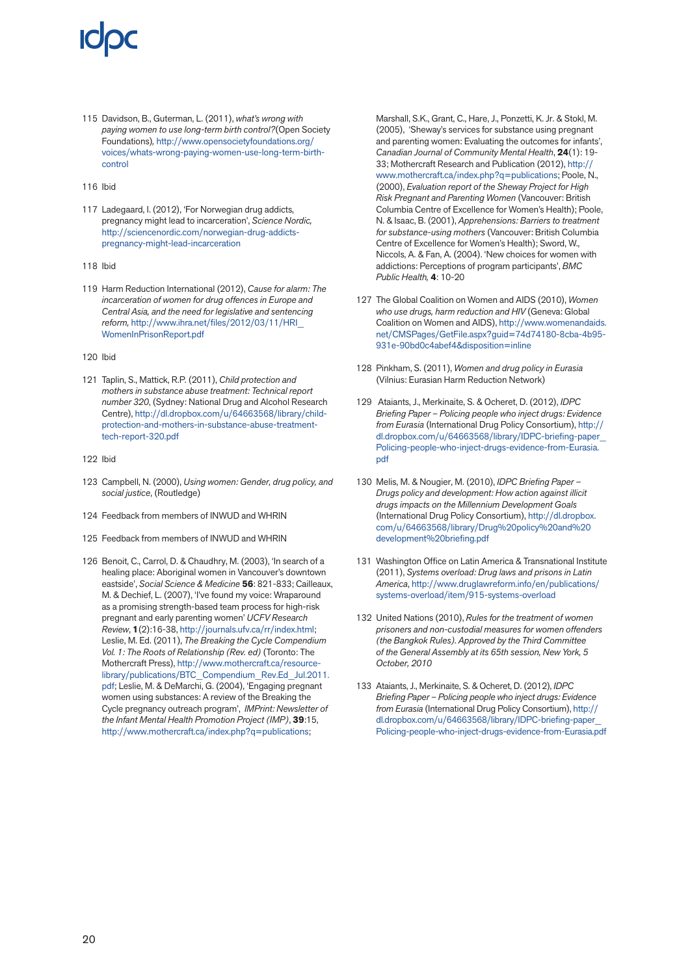115 Davidson, B., Guterman, L. (2011), *what's wrong with paying women to use long-term birth control?*(Open Society Foundations)*,* [http://www.opensocietyfoundations.org/](http://www.opensocietyfoundations.org/voices/whats-wrong-paying-women-use-long-term-birth-control) [voices/whats-wrong-paying-women-use-long-term-birth](http://www.opensocietyfoundations.org/voices/whats-wrong-paying-women-use-long-term-birth-control)[control](http://www.opensocietyfoundations.org/voices/whats-wrong-paying-women-use-long-term-birth-control)

#### 116 Ibid

117 Ladegaard, I. (2012), 'For Norwegian drug addicts, pregnancy might lead to incarceration', *Science Nordic,*  [http://sciencenordic.com/norwegian-drug-addicts](http://sciencenordic.com/norwegian-drug-addicts-pregnancy-might-lead-incarceration)[pregnancy-might-lead-incarceration](http://sciencenordic.com/norwegian-drug-addicts-pregnancy-might-lead-incarceration) 

#### 118 Ibid

119 Harm Reduction International (2012), *Cause for alarm: The incarceration of women for drug offences in Europe and Central Asia, and the need for legislative and sentencing reform,* [http://www.ihra.net/files/2012/03/11/HRI\\_](http://www.ihra.net/files/2012/03/11/HRI_WomenInPrisonReport.pdf) [WomenInPrisonReport.pdf](http://www.ihra.net/files/2012/03/11/HRI_WomenInPrisonReport.pdf)

#### 120 Ibid

121 Taplin, S., Mattick, R.P. (2011), *Child protection and mothers in substance abuse treatment: Technical report number 320*, (Sydney: National Drug and Alcohol Research Centre), [http://dl.dropbox.com/u/64663568/library/child](http://dl.dropbox.com/u/64663568/library/child-protection-and-mothers-in-substance-abuse-treatment-tech-report-320.pdf)[protection-and-mothers-in-substance-abuse-treatment](http://dl.dropbox.com/u/64663568/library/child-protection-and-mothers-in-substance-abuse-treatment-tech-report-320.pdf)[tech-report-320.pdf](http://dl.dropbox.com/u/64663568/library/child-protection-and-mothers-in-substance-abuse-treatment-tech-report-320.pdf)

#### 122 Ibid

- 123 Campbell, N. (2000), *Using women: Gender, drug policy, and social justice*, (Routledge)
- 124 Feedback from members of INWUD and WHRIN
- 125 Feedback from members of INWUD and WHRIN
- 126 Benoit, C., Carrol, D. & Chaudhry, M. (2003), 'In search of a healing place: Aboriginal women in Vancouver's downtown eastside', *Social Science & Medicine* **56**: 821-833; Cailleaux, M. & Dechief, L. (2007), 'I've found my voice: Wraparound as a promising strength-based team process for high-risk pregnant and early parenting women' *UCFV Research Review*, **1**(2):16-38,<http://journals.ufv.ca/rr/index.html>; Leslie, M. Ed. (2011), *The Breaking the Cycle Compendium Vol. 1: The Roots of Relationship (Rev. ed)* (Toronto: The Mothercraft Press), [http://www.mothercraft.ca/resource](http://www.mothercraft.ca/resource-library/publications/BTC_Compendium_Rev.Ed_Jul.2011.pdf)[library/publications/BTC\\_Compendium\\_Rev.Ed\\_Jul.2011.](http://www.mothercraft.ca/resource-library/publications/BTC_Compendium_Rev.Ed_Jul.2011.pdf) [pdf;](http://www.mothercraft.ca/resource-library/publications/BTC_Compendium_Rev.Ed_Jul.2011.pdf) Leslie, M. & DeMarchi, G. (2004), 'Engaging pregnant women using substances: A review of the Breaking the Cycle pregnancy outreach program', *IMPrint: Newsletter of the Infant Mental Health Promotion Project (IMP)*, **39**:15, <http://www.mothercraft.ca/index.php?q=publications>;

Marshall, S.K., Grant, C., Hare, J., Ponzetti, K. Jr. & Stokl, M. (2005), 'Sheway's services for substance using pregnant and parenting women: Evaluating the outcomes for infants', *Canadian Journal of Community Mental Health*, **24**(1): 19- 33; Mothercraft Research and Publication (2012), [http://](http://www.mothercraft.ca/index.php?q=publications) [www.mothercraft.ca/index.php?q=publications](http://www.mothercraft.ca/index.php?q=publications); Poole, N., (2000), *Evaluation report of the Sheway Project for High Risk Pregnant and Parenting Women* (Vancouver: British Columbia Centre of Excellence for Women's Health); Poole, N. & Isaac, B. (2001), *Apprehensions: Barriers to treatment for substance-using mothers* (Vancouver: British Columbia Centre of Excellence for Women's Health); Sword, W., Niccols, A. & Fan, A. (2004). 'New choices for women with addictions: Perceptions of program participants', *BMC Public Health,* **4**: 10-20

- 127 The Global Coalition on Women and AIDS (2010), *Women who use drugs, harm reduction and HIV* (Geneva: Global Coalition on Women and AIDS), [http://www.womenandaids.](http://www.womenandaids.net/CMSPages/GetFile.aspx?guid=74d74180-8cba-4b95-931e-90bd0c4abef4&disposition=inline) [net/CMSPages/GetFile.aspx?guid=74d74180-8cba-4b95-](http://www.womenandaids.net/CMSPages/GetFile.aspx?guid=74d74180-8cba-4b95-931e-90bd0c4abef4&disposition=inline) [931e-90bd0c4abef4&disposition=inline](http://www.womenandaids.net/CMSPages/GetFile.aspx?guid=74d74180-8cba-4b95-931e-90bd0c4abef4&disposition=inline)
- 128 Pinkham, S. (2011), *Women and drug policy in Eurasia* (Vilnius: Eurasian Harm Reduction Network)
- 129 Ataiants, J., Merkinaite, S. & Ocheret, D. (2012), *IDPC Briefing Paper – Policing people who inject drugs: Evidence from Eurasia* (International Drug Policy Consortium), [http://](http://dl.dropbox.com/u/64663568/library/IDPC-briefing-paper_Policing-people-who-inject-drugs-evidence-from-Eurasia.pdf) [dl.dropbox.com/u/64663568/library/IDPC-briefing-paper\\_](http://dl.dropbox.com/u/64663568/library/IDPC-briefing-paper_Policing-people-who-inject-drugs-evidence-from-Eurasia.pdf) [Policing-people-who-inject-drugs-evidence-from-Eurasia.](http://dl.dropbox.com/u/64663568/library/IDPC-briefing-paper_Policing-people-who-inject-drugs-evidence-from-Eurasia.pdf) [pdf](http://dl.dropbox.com/u/64663568/library/IDPC-briefing-paper_Policing-people-who-inject-drugs-evidence-from-Eurasia.pdf)
- 130 Melis, M. & Nougier, M. (2010), *IDPC Briefing Paper Drugs policy and development: How action against illicit drugs impacts on the Millennium Development Goals* (International Drug Policy Consortium), [http://dl.dropbox.](http://dl.dropbox.com/u/64663568/library/Drug policy and development briefing.pdf) [com/u/64663568/library/Drug%20policy%20and%20](http://dl.dropbox.com/u/64663568/library/Drug policy and development briefing.pdf) [development%20briefing.pdf](http://dl.dropbox.com/u/64663568/library/Drug policy and development briefing.pdf)
- 131 Washington Office on Latin America & Transnational Institute (2011), *Systems overload: Drug laws and prisons in Latin America*, [http://www.druglawreform.info/en/publications/](http://www.druglawreform.info/en/publications/systems-overload/item/915-systems-overload) [systems-overload/item/915-systems-overload](http://www.druglawreform.info/en/publications/systems-overload/item/915-systems-overload)
- 132 United Nations (2010), *Rules for the treatment of women prisoners and non-custodial measures for women offenders (the Bangkok Rules). Approved by the Third Committee of the General Assembly at its 65th session, New York, 5 October, 2010*
- 133 Ataiants, J., Merkinaite, S. & Ocheret, D. (2012), *IDPC Briefing Paper – Policing people who inject drugs: Evidence from Eurasia* (International Drug Policy Consortium), [http://](http://dl.dropbox.com/u/64663568/library/IDPC-briefing-paper_Policing-people-who-inject-drugs-evidence-from-Eurasia.pdf) [dl.dropbox.com/u/64663568/library/IDPC-briefing-paper\\_](http://dl.dropbox.com/u/64663568/library/IDPC-briefing-paper_Policing-people-who-inject-drugs-evidence-from-Eurasia.pdf) [Policing-people-who-inject-drugs-evidence-from-Eurasia.pdf](http://dl.dropbox.com/u/64663568/library/IDPC-briefing-paper_Policing-people-who-inject-drugs-evidence-from-Eurasia.pdf)